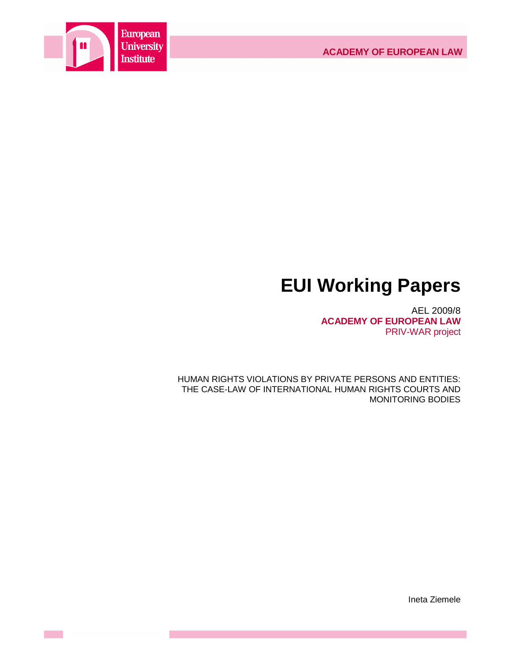

# **EUI Working Papers**

AEL 2009/8 **ACADEMY OF EUROPEAN LAW** PRIV-WAR project

HUMAN RIGHTS VIOLATIONS BY PRIVATE PERSONS AND ENTITIES: THE CASE-LAW OF INTERNATIONAL HUMAN RIGHTS COURTS AND MONITORING BODIES

Ineta Ziemele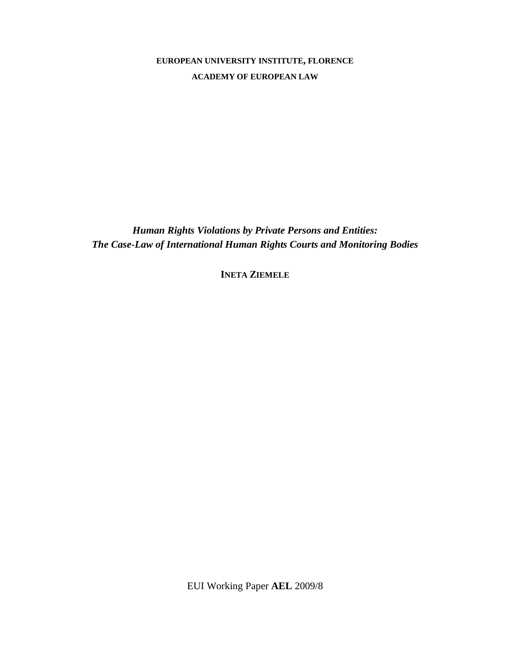# **EUROPEAN UNIVERSITY INSTITUTE, FLORENCE ACADEMY OF EUROPEAN LAW**

*Human Rights Violations by Private Persons and Entities: The Case-Law of International Human Rights Courts and Monitoring Bodies* 

**INETA ZIEMELE**

EUI Working Paper **AEL** 2009/8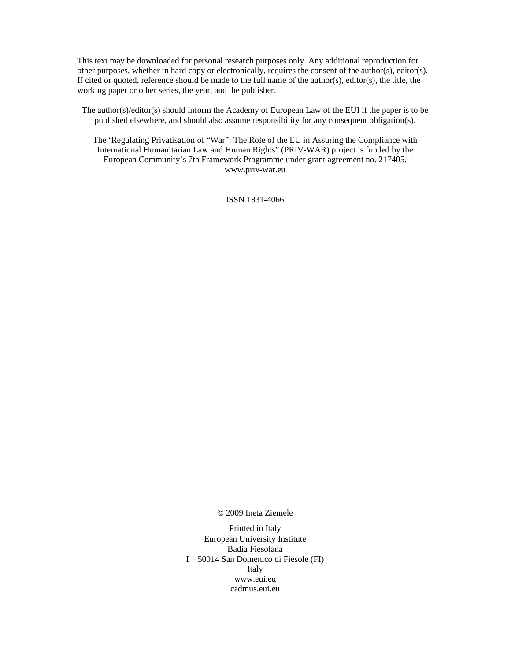This text may be downloaded for personal research purposes only. Any additional reproduction for other purposes, whether in hard copy or electronically, requires the consent of the author(s), editor(s). If cited or quoted, reference should be made to the full name of the author(s), editor(s), the title, the working paper or other series, the year, and the publisher.

The author(s)/editor(s) should inform the Academy of European Law of the EUI if the paper is to be published elsewhere, and should also assume responsibility for any consequent obligation(s).

The 'Regulating Privatisation of "War": The Role of the EU in Assuring the Compliance with International Humanitarian Law and Human Rights" (PRIV-WAR) project is funded by the European Community's 7th Framework Programme under grant agreement no. 217405. www.priv-war.eu

ISSN 1831-4066

© 2009 Ineta Ziemele

Printed in Italy European University Institute Badia Fiesolana I – 50014 San Domenico di Fiesole (FI) Italy www.eui.eu cadmus.eui.eu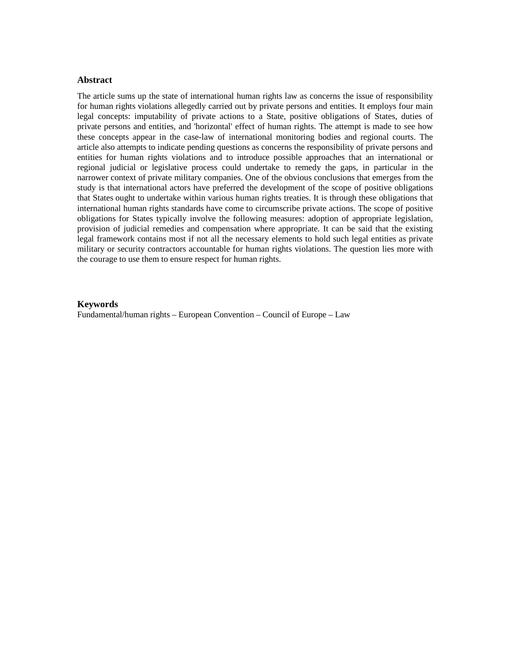## **Abstract**

The article sums up the state of international human rights law as concerns the issue of responsibility for human rights violations allegedly carried out by private persons and entities. It employs four main legal concepts: imputability of private actions to a State, positive obligations of States, duties of private persons and entities, and 'horizontal' effect of human rights. The attempt is made to see how these concepts appear in the case-law of international monitoring bodies and regional courts. The article also attempts to indicate pending questions as concerns the responsibility of private persons and entities for human rights violations and to introduce possible approaches that an international or regional judicial or legislative process could undertake to remedy the gaps, in particular in the narrower context of private military companies. One of the obvious conclusions that emerges from the study is that international actors have preferred the development of the scope of positive obligations that States ought to undertake within various human rights treaties. It is through these obligations that international human rights standards have come to circumscribe private actions. The scope of positive obligations for States typically involve the following measures: adoption of appropriate legislation, provision of judicial remedies and compensation where appropriate. It can be said that the existing legal framework contains most if not all the necessary elements to hold such legal entities as private military or security contractors accountable for human rights violations. The question lies more with the courage to use them to ensure respect for human rights.

#### **Keywords**

Fundamental/human rights – European Convention – Council of Europe – Law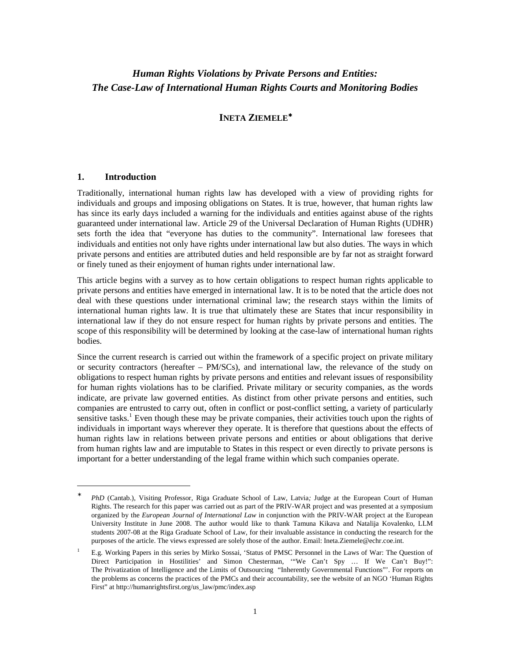## *Human Rights Violations by Private Persons and Entities: The Case-Law of International Human Rights Courts and Monitoring Bodies*

## **INETA ZIEMELE**<sup>∗</sup>

## **1. Introduction**

 $\overline{a}$ 

Traditionally, international human rights law has developed with a view of providing rights for individuals and groups and imposing obligations on States. It is true, however, that human rights law has since its early days included a warning for the individuals and entities against abuse of the rights guaranteed under international law. Article 29 of the Universal Declaration of Human Rights (UDHR) sets forth the idea that "everyone has duties to the community". International law foresees that individuals and entities not only have rights under international law but also duties. The ways in which private persons and entities are attributed duties and held responsible are by far not as straight forward or finely tuned as their enjoyment of human rights under international law.

This article begins with a survey as to how certain obligations to respect human rights applicable to private persons and entities have emerged in international law. It is to be noted that the article does not deal with these questions under international criminal law; the research stays within the limits of international human rights law. It is true that ultimately these are States that incur responsibility in international law if they do not ensure respect for human rights by private persons and entities. The scope of this responsibility will be determined by looking at the case-law of international human rights bodies.

Since the current research is carried out within the framework of a specific project on private military or security contractors (hereafter – PM/SCs), and international law, the relevance of the study on obligations to respect human rights by private persons and entities and relevant issues of responsibility for human rights violations has to be clarified. Private military or security companies, as the words indicate, are private law governed entities. As distinct from other private persons and entities, such companies are entrusted to carry out, often in conflict or post-conflict setting, a variety of particularly sensitive tasks.<sup>1</sup> Even though these may be private companies, their activities touch upon the rights of individuals in important ways wherever they operate. It is therefore that questions about the effects of human rights law in relations between private persons and entities or about obligations that derive from human rights law and are imputable to States in this respect or even directly to private persons is important for a better understanding of the legal frame within which such companies operate.

<sup>∗</sup> *PhD* (Cantab.), Visiting Professor, Riga Graduate School of Law, Latvia*;* Judge at the European Court of Human Rights. The research for this paper was carried out as part of the PRIV-WAR project and was presented at a symposium organized by the *European Journal of International Law* in conjunction with the PRIV-WAR project at the European University Institute in June 2008. The author would like to thank Tamuna Kikava and Natalija Kovalenko, LLM students 2007-08 at the Riga Graduate School of Law, for their invaluable assistance in conducting the research for the purposes of the article. The views expressed are solely those of the author. Email: Ineta.Ziemele@echr.coe.int.

<sup>1</sup> E.g. Working Papers in this series by Mirko Sossai, 'Status of PMSC Personnel in the Laws of War: The Question of Direct Participation in Hostilities' and Simon Chesterman, '"We Can't Spy … If We Can't Buy!": The Privatization of Intelligence and the Limits of Outsourcing "Inherently Governmental Functions"'. For reports on the problems as concerns the practices of the PMCs and their accountability, see the website of an NGO 'Human Rights First" at http://humanrightsfirst.org/us\_law/pmc/index.asp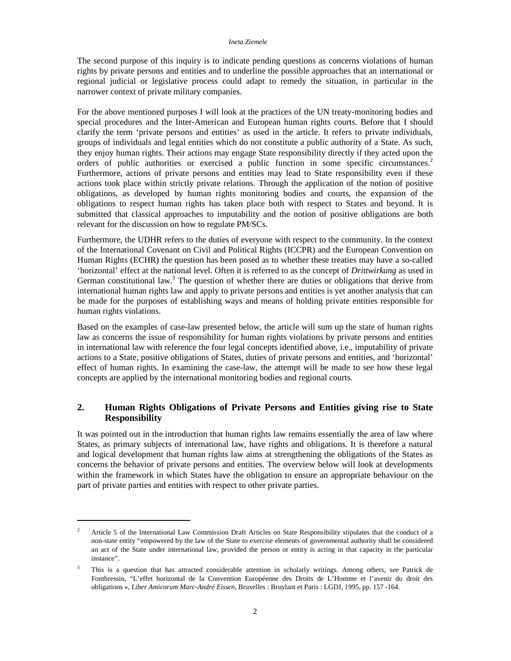The second purpose of this inquiry is to indicate pending questions as concerns violations of human rights by private persons and entities and to underline the possible approaches that an international or regional judicial or legislative process could adapt to remedy the situation, in particular in the narrower context of private military companies.

For the above mentioned purposes I will look at the practices of the UN treaty-monitoring bodies and special procedures and the Inter-American and European human rights courts. Before that I should clarify the term 'private persons and entities' as used in the article. It refers to private individuals, groups of individuals and legal entities which do not constitute a public authority of a State. As such, they enjoy human rights. Their actions may engage State responsibility directly if they acted upon the orders of public authorities or exercised a public function in some specific circumstances.<sup>2</sup> Furthermore, actions of private persons and entities may lead to State responsibility even if these actions took place within strictly private relations. Through the application of the notion of positive obligations, as developed by human rights monitoring bodies and courts, the expansion of the obligations to respect human rights has taken place both with respect to States and beyond. It is submitted that classical approaches to imputability and the notion of positive obligations are both relevant for the discussion on how to regulate PM/SCs.

Furthermore, the UDHR refers to the duties of everyone with respect to the community. In the context of the International Covenant on Civil and Political Rights (ICCPR) and the European Convention on Human Rights (ECHR) the question has been posed as to whether these treaties may have a so-called 'horizontal' effect at the national level. Often it is referred to as the concept of *Drittwirkung* as used in German constitutional law.<sup>3</sup> The question of whether there are duties or obligations that derive from international human rights law and apply to private persons and entities is yet another analysis that can be made for the purposes of establishing ways and means of holding private entities responsible for human rights violations.

Based on the examples of case-law presented below, the article will sum up the state of human rights law as concerns the issue of responsibility for human rights violations by private persons and entities in international law with reference the four legal concepts identified above, i.e., imputability of private actions to a State, positive obligations of States, duties of private persons and entities, and 'horizontal' effect of human rights. In examining the case-law, the attempt will be made to see how these legal concepts are applied by the international monitoring bodies and regional courts.

## **2. Human Rights Obligations of Private Persons and Entities giving rise to State Responsibility**

It was pointed out in the introduction that human rights law remains essentially the area of law where States, as primary subjects of international law, have rights and obligations. It is therefore a natural and logical development that human rights law aims at strengthening the obligations of the States as concerns the behavior of private persons and entities. The overview below will look at developments within the framework in which States have the obligation to ensure an appropriate behaviour on the part of private parties and entities with respect to other private parties.

<sup>2</sup> Article 5 of the International Law Commission Draft Articles on State Responsibility stipulates that the conduct of a non-state entity "empowered by the law of the State to exercise elements of governmental authority shall be considered an act of the State under international law, provided the person or entity is acting in that capacity in the particular instance".

<sup>3</sup> This is a question that has attracted considerable attention in scholarly writings. Among others, see Patrick de Fontbressin, "L'effet horizontal de la Convention Européenne des Droits de L'Homme et l'avenir du droit des obligations », *Liber Amicorum Marc-André Eissen*, Bruxelles : Bruylant et Paris : LGDJ, 1995, pp. 157 -164.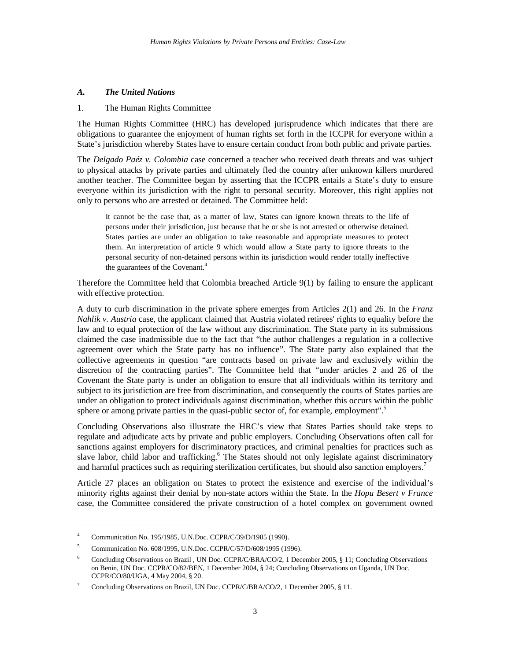## *A. The United Nations*

#### 1. The Human Rights Committee

The Human Rights Committee (HRC) has developed jurisprudence which indicates that there are obligations to guarantee the enjoyment of human rights set forth in the ICCPR for everyone within a State's jurisdiction whereby States have to ensure certain conduct from both public and private parties.

The *Delgado Paéz v. Colombia* case concerned a teacher who received death threats and was subject to physical attacks by private parties and ultimately fled the country after unknown killers murdered another teacher. The Committee began by asserting that the ICCPR entails a State's duty to ensure everyone within its jurisdiction with the right to personal security. Moreover, this right applies not only to persons who are arrested or detained. The Committee held:

It cannot be the case that, as a matter of law, States can ignore known threats to the life of persons under their jurisdiction, just because that he or she is not arrested or otherwise detained. States parties are under an obligation to take reasonable and appropriate measures to protect them. An interpretation of article 9 which would allow a State party to ignore threats to the personal security of non-detained persons within its jurisdiction would render totally ineffective the guarantees of the Covenant.<sup>4</sup>

Therefore the Committee held that Colombia breached Article 9(1) by failing to ensure the applicant with effective protection.

A duty to curb discrimination in the private sphere emerges from Articles 2(1) and 26. In the *Franz Nahlik v. Austria* case, the applicant claimed that Austria violated retirees' rights to equality before the law and to equal protection of the law without any discrimination. The State party in its submissions claimed the case inadmissible due to the fact that "the author challenges a regulation in a collective agreement over which the State party has no influence". The State party also explained that the collective agreements in question "are contracts based on private law and exclusively within the discretion of the contracting parties". The Committee held that "under articles 2 and 26 of the Covenant the State party is under an obligation to ensure that all individuals within its territory and subject to its jurisdiction are free from discrimination, and consequently the courts of States parties are under an obligation to protect individuals against discrimination, whether this occurs within the public sphere or among private parties in the quasi-public sector of, for example, employment".<sup>5</sup>

Concluding Observations also illustrate the HRC's view that States Parties should take steps to regulate and adjudicate acts by private and public employers. Concluding Observations often call for sanctions against employers for discriminatory practices, and criminal penalties for practices such as slave labor, child labor and trafficking.<sup>6</sup> The States should not only legislate against discriminatory and harmful practices such as requiring sterilization certificates, but should also sanction employers.<sup>7</sup>

Article 27 places an obligation on States to protect the existence and exercise of the individual's minority rights against their denial by non-state actors within the State. In the *Hopu Besert v France* case, the Committee considered the private construction of a hotel complex on government owned

<sup>4</sup> Communication No. 195/1985, U.N.Doc. CCPR/C/39/D/1985 (1990).

<sup>5</sup> Communication No. 608/1995, U.N.Doc. CCPR/C/57/D/608/1995 (1996).

<sup>6</sup> Concluding Observations on Brazil , UN Doc. CCPR/C/BRA/CO/2, 1 December 2005, § 11; Concluding Observations on Benin, UN Doc. CCPR/CO/82/BEN, 1 December 2004, § 24; Concluding Observations on Uganda, UN Doc. CCPR/CO/80/UGA, 4 May 2004, § 20.

<sup>7</sup> Concluding Observations on Brazil, UN Doc. CCPR/C/BRA/CO/2, 1 December 2005, § 11.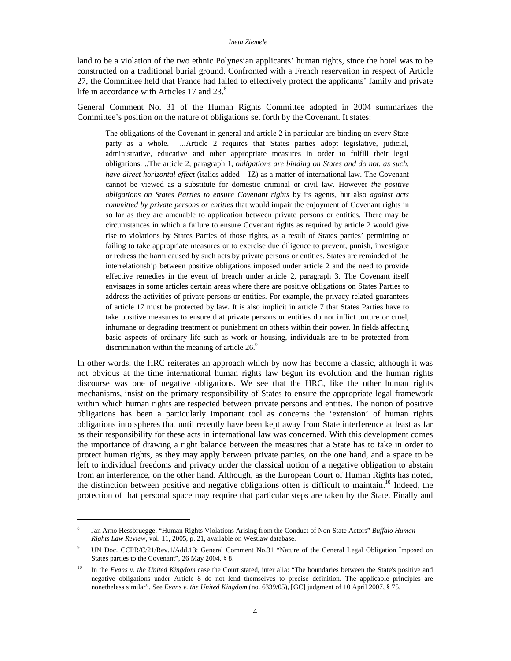land to be a violation of the two ethnic Polynesian applicants' human rights, since the hotel was to be constructed on a traditional burial ground. Confronted with a French reservation in respect of Article 27, the Committee held that France had failed to effectively protect the applicants' family and private life in accordance with Articles 17 and 23.<sup>8</sup>

General Comment No. 31 of the Human Rights Committee adopted in 2004 summarizes the Committee's position on the nature of obligations set forth by the Covenant. It states:

The obligations of the Covenant in general and article 2 in particular are binding on every State party as a whole. ...Article 2 requires that States parties adopt legislative, judicial, administrative, educative and other appropriate measures in order to fulfill their legal obligations. ..The article 2, paragraph 1, *obligations are binding on States and do not, as such, have direct horizontal effect* (italics added – IZ) as a matter of international law. The Covenant cannot be viewed as a substitute for domestic criminal or civil law. However *the positive obligations on States Parties to ensure Covenant rights* by its agents, but also *against acts committed by private persons or entities* that would impair the enjoyment of Covenant rights in so far as they are amenable to application between private persons or entities. There may be circumstances in which a failure to ensure Covenant rights as required by article 2 would give rise to violations by States Parties of those rights, as a result of States parties' permitting or failing to take appropriate measures or to exercise due diligence to prevent, punish, investigate or redress the harm caused by such acts by private persons or entities. States are reminded of the interrelationship between positive obligations imposed under article 2 and the need to provide effective remedies in the event of breach under article 2, paragraph 3. The Covenant itself envisages in some articles certain areas where there are positive obligations on States Parties to address the activities of private persons or entities. For example, the privacy-related guarantees of article 17 must be protected by law. It is also implicit in article 7 that States Parties have to take positive measures to ensure that private persons or entities do not inflict torture or cruel, inhumane or degrading treatment or punishment on others within their power. In fields affecting basic aspects of ordinary life such as work or housing, individuals are to be protected from discrimination within the meaning of article  $26$ .<sup>9</sup>

In other words, the HRC reiterates an approach which by now has become a classic, although it was not obvious at the time international human rights law begun its evolution and the human rights discourse was one of negative obligations. We see that the HRC, like the other human rights mechanisms, insist on the primary responsibility of States to ensure the appropriate legal framework within which human rights are respected between private persons and entities. The notion of positive obligations has been a particularly important tool as concerns the 'extension' of human rights obligations into spheres that until recently have been kept away from State interference at least as far as their responsibility for these acts in international law was concerned. With this development comes the importance of drawing a right balance between the measures that a State has to take in order to protect human rights, as they may apply between private parties, on the one hand, and a space to be left to individual freedoms and privacy under the classical notion of a negative obligation to abstain from an interference, on the other hand. Although, as the European Court of Human Rights has noted, the distinction between positive and negative obligations often is difficult to maintain.<sup>10</sup> Indeed, the protection of that personal space may require that particular steps are taken by the State. Finally and

<sup>8</sup> Jan Arno Hessbruegge, "Human Rights Violations Arising from the Conduct of Non-State Actors" *Buffalo Human Rights Law Review*, vol. 11, 2005, p. 21, available on Westlaw database.

<sup>9</sup> UN Doc. CCPR/C/21/Rev.1/Add.13: General Comment No.31 "Nature of the General Legal Obligation Imposed on States parties to the Covenant", 26 May 2004, § 8.

<sup>&</sup>lt;sup>10</sup> In the *Evans v. the United Kingdom* case the Court stated, inter alia: "The boundaries between the State's positive and negative obligations under Article 8 do not lend themselves to precise definition. The applicable principles are nonetheless similar". See *Evans v. the United Kingdom* (no. 6339/05), [GC] judgment of 10 April 2007, § 75.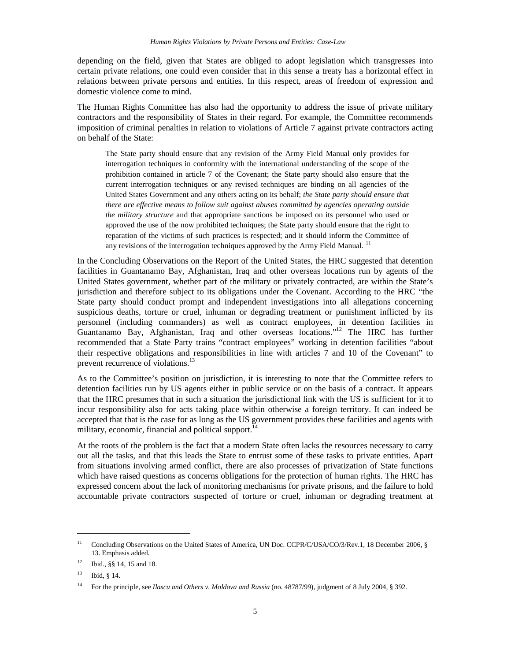depending on the field, given that States are obliged to adopt legislation which transgresses into certain private relations, one could even consider that in this sense a treaty has a horizontal effect in relations between private persons and entities. In this respect, areas of freedom of expression and domestic violence come to mind.

The Human Rights Committee has also had the opportunity to address the issue of private military contractors and the responsibility of States in their regard. For example, the Committee recommends imposition of criminal penalties in relation to violations of Article 7 against private contractors acting on behalf of the State:

The State party should ensure that any revision of the Army Field Manual only provides for interrogation techniques in conformity with the international understanding of the scope of the prohibition contained in article 7 of the Covenant; the State party should also ensure that the current interrogation techniques or any revised techniques are binding on all agencies of the United States Government and any others acting on its behalf; *the State party should ensure that there are effective means to follow suit against abuses committed by agencies operating outside the military structure* and that appropriate sanctions be imposed on its personnel who used or approved the use of the now prohibited techniques; the State party should ensure that the right to reparation of the victims of such practices is respected; and it should inform the Committee of any revisions of the interrogation techniques approved by the Army Field Manual.<sup>11</sup>

In the Concluding Observations on the Report of the United States, the HRC suggested that detention facilities in Guantanamo Bay, Afghanistan, Iraq and other overseas locations run by agents of the United States government, whether part of the military or privately contracted, are within the State's jurisdiction and therefore subject to its obligations under the Covenant. According to the HRC "the State party should conduct prompt and independent investigations into all allegations concerning suspicious deaths, torture or cruel, inhuman or degrading treatment or punishment inflicted by its personnel (including commanders) as well as contract employees, in detention facilities in Guantanamo Bay, Afghanistan, Iraq and other overseas locations."<sup>12</sup> The HRC has further recommended that a State Party trains "contract employees" working in detention facilities "about their respective obligations and responsibilities in line with articles 7 and 10 of the Covenant" to prevent recurrence of violations.<sup>13</sup>

As to the Committee's position on jurisdiction, it is interesting to note that the Committee refers to detention facilities run by US agents either in public service or on the basis of a contract. It appears that the HRC presumes that in such a situation the jurisdictional link with the US is sufficient for it to incur responsibility also for acts taking place within otherwise a foreign territory. It can indeed be accepted that that is the case for as long as the US government provides these facilities and agents with military, economic, financial and political support.<sup>14</sup>

At the roots of the problem is the fact that a modern State often lacks the resources necessary to carry out all the tasks, and that this leads the State to entrust some of these tasks to private entities. Apart from situations involving armed conflict, there are also processes of privatization of State functions which have raised questions as concerns obligations for the protection of human rights. The HRC has expressed concern about the lack of monitoring mechanisms for private prisons, and the failure to hold accountable private contractors suspected of torture or cruel, inhuman or degrading treatment at

<sup>&</sup>lt;sup>11</sup> Concluding Observations on the United States of America, UN Doc. CCPR/C/USA/CO/3/Rev.1, 18 December 2006, § 13. Emphasis added.

<sup>12</sup> Ibid., §§ 14, 15 and 18.

<sup>13</sup> Ibid, § 14.

<sup>14</sup> For the principle, see *Ilascu and Others v. Moldova and Russia* (no. 48787/99), judgment of 8 July 2004, § 392.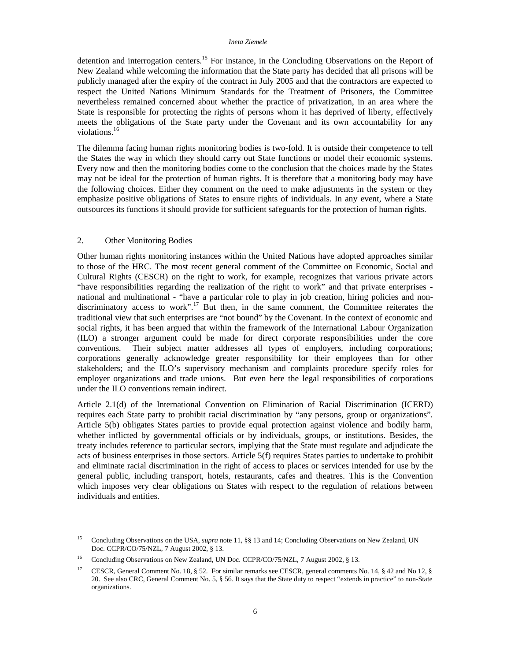detention and interrogation centers.<sup>15</sup> For instance, in the Concluding Observations on the Report of New Zealand while welcoming the information that the State party has decided that all prisons will be publicly managed after the expiry of the contract in July 2005 and that the contractors are expected to respect the United Nations Minimum Standards for the Treatment of Prisoners, the Committee nevertheless remained concerned about whether the practice of privatization, in an area where the State is responsible for protecting the rights of persons whom it has deprived of liberty, effectively meets the obligations of the State party under the Covenant and its own accountability for any violations.<sup>16</sup>

The dilemma facing human rights monitoring bodies is two-fold. It is outside their competence to tell the States the way in which they should carry out State functions or model their economic systems. Every now and then the monitoring bodies come to the conclusion that the choices made by the States may not be ideal for the protection of human rights. It is therefore that a monitoring body may have the following choices. Either they comment on the need to make adjustments in the system or they emphasize positive obligations of States to ensure rights of individuals. In any event, where a State outsources its functions it should provide for sufficient safeguards for the protection of human rights.

#### 2. Other Monitoring Bodies

 $\overline{a}$ 

Other human rights monitoring instances within the United Nations have adopted approaches similar to those of the HRC. The most recent general comment of the Committee on Economic, Social and Cultural Rights (CESCR) on the right to work, for example, recognizes that various private actors "have responsibilities regarding the realization of the right to work" and that private enterprises national and multinational - "have a particular role to play in job creation, hiring policies and nondiscriminatory access to work".<sup>17</sup> But then, in the same comment, the Committee reiterates the traditional view that such enterprises are "not bound" by the Covenant. In the context of economic and social rights, it has been argued that within the framework of the International Labour Organization (ILO) a stronger argument could be made for direct corporate responsibilities under the core conventions. Their subject matter addresses all types of employers, including corporations; corporations generally acknowledge greater responsibility for their employees than for other stakeholders; and the ILO's supervisory mechanism and complaints procedure specify roles for employer organizations and trade unions. But even here the legal responsibilities of corporations under the ILO conventions remain indirect.

Article 2.1(d) of the International Convention on Elimination of Racial Discrimination (ICERD) requires each State party to prohibit racial discrimination by "any persons, group or organizations". Article 5(b) obligates States parties to provide equal protection against violence and bodily harm, whether inflicted by governmental officials or by individuals, groups, or institutions. Besides, the treaty includes reference to particular sectors, implying that the State must regulate and adjudicate the acts of business enterprises in those sectors. Article 5(f) requires States parties to undertake to prohibit and eliminate racial discrimination in the right of access to places or services intended for use by the general public, including transport, hotels, restaurants, cafes and theatres. This is the Convention which imposes very clear obligations on States with respect to the regulation of relations between individuals and entities.

<sup>15</sup> Concluding Observations on the USA, *supra* note 11, §§ 13 and 14; Concluding Observations on New Zealand, UN Doc. CCPR/CO/75/NZL, 7 August 2002, § 13.

<sup>&</sup>lt;sup>16</sup> Concluding Observations on New Zealand, UN Doc. CCPR/CO/75/NZL, 7 August 2002, § 13.

<sup>&</sup>lt;sup>17</sup> CESCR, General Comment No. 18, § 52. For similar remarks see CESCR, general comments No. 14, § 42 and No 12, § 20. See also CRC, General Comment No. 5, § 56. It says that the State duty to respect "extends in practice" to non-State organizations.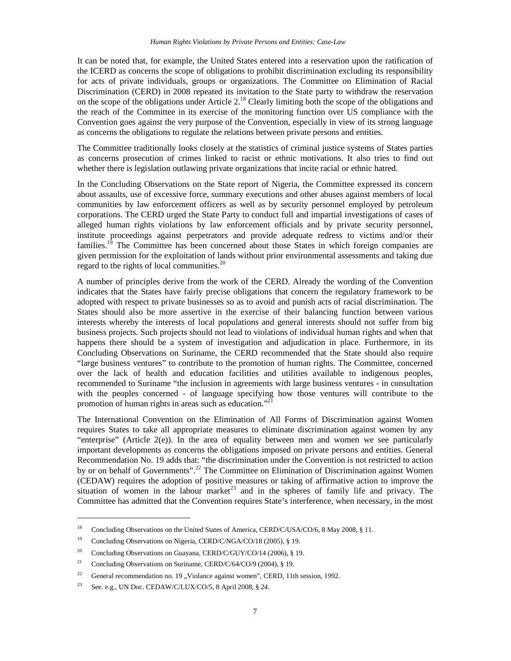It can be noted that, for example, the United States entered into a reservation upon the ratification of the ICERD as concerns the scope of obligations to prohibit discrimination excluding its responsibility for acts of private individuals, groups or organizations. The Committee on Elimination of Racial Discrimination (CERD) in 2008 repeated its invitation to the State party to withdraw the reservation on the scope of the obligations under Article 2.<sup>18</sup> Clearly limiting both the scope of the obligations and the reach of the Committee in its exercise of the monitoring function over US compliance with the Convention goes against the very purpose of the Convention, especially in view of its strong language as concerns the obligations to regulate the relations between private persons and entities.

The Committee traditionally looks closely at the statistics of criminal justice systems of States parties as concerns prosecution of crimes linked to racist or ethnic motivations. It also tries to find out whether there is legislation outlawing private organizations that incite racial or ethnic hatred.

In the Concluding Observations on the State report of Nigeria, the Committee expressed its concern about assaults, use of excessive force, summary executions and other abuses against members of local communities by law enforcement officers as well as by security personnel employed by petroleum corporations. The CERD urged the State Party to conduct full and impartial investigations of cases of alleged human rights violations by law enforcement officials and by private security personnel, institute proceedings against perpetrators and provide adequate redress to victims and/or their families.<sup>19</sup> The Committee has been concerned about those States in which foreign companies are given permission for the exploitation of lands without prior environmental assessments and taking due regard to the rights of local communities. $20$ 

A number of principles derive from the work of the CERD. Already the wording of the Convention indicates that the States have fairly precise obligations that concern the regulatory framework to be adopted with respect to private businesses so as to avoid and punish acts of racial discrimination. The States should also be more assertive in the exercise of their balancing function between various interests whereby the interests of local populations and general interests should not suffer from big business projects. Such projects should not lead to violations of individual human rights and when that happens there should be a system of investigation and adjudication in place. Furthermore, in its Concluding Observations on Suriname, the CERD recommended that the State should also require "large business ventures" to contribute to the promotion of human rights. The Committee, concerned over the lack of health and education facilities and utilities available to indigenous peoples, recommended to Suriname "the inclusion in agreements with large business ventures - in consultation with the peoples concerned - of language specifying how those ventures will contribute to the promotion of human rights in areas such as education."<sup>21</sup>

The International Convention on the Elimination of All Forms of Discrimination against Women requires States to take all appropriate measures to eliminate discrimination against women by any "enterprise" (Article  $2(e)$ ). In the area of equality between men and women we see particularly important developments as concerns the obligations imposed on private persons and entities. General Recommendation No. 19 adds that: "the discrimination under the Convention is not restricted to action by or on behalf of Governments".<sup>22</sup> The Committee on Elimination of Discrimination against Women (CEDAW) requires the adoption of positive measures or taking of affirmative action to improve the situation of women in the labour market<sup>23</sup> and in the spheres of family life and privacy. The Committee has admitted that the Convention requires State's interference, when necessary, in the most

<sup>&</sup>lt;sup>18</sup> Concluding Observations on the United States of America, CERD/C/USA/CO/6, 8 May 2008, § 11.

<sup>&</sup>lt;sup>19</sup> Concluding Observations on Nigeria, CERD/C/NGA/CO/18 (2005), § 19.

<sup>&</sup>lt;sup>20</sup> Concluding Observations on Guayana, CERD/C/GUY/CO/14 (2006), § 19.

<sup>&</sup>lt;sup>21</sup> Concluding Observations on Suriname, CERD/C/64/CO/9 (2004), § 19.

<sup>&</sup>lt;sup>22</sup> General recommendation no. 19 "Violance against women", CERD, 11th session, 1992.

<sup>&</sup>lt;sup>23</sup> See. e.g., UN Doc. CEDAW/C/LUX/CO/5, 8 April 2008,  $§$  24.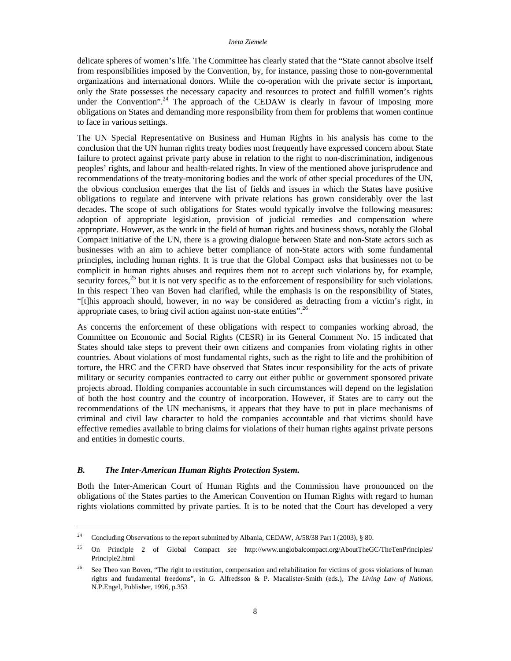delicate spheres of women's life. The Committee has clearly stated that the "State cannot absolve itself from responsibilities imposed by the Convention, by, for instance, passing those to non-governmental organizations and international donors. While the co-operation with the private sector is important, only the State possesses the necessary capacity and resources to protect and fulfill women's rights under the Convention".<sup>24</sup> The approach of the CEDAW is clearly in favour of imposing more obligations on States and demanding more responsibility from them for problems that women continue to face in various settings.

The UN Special Representative on Business and Human Rights in his analysis has come to the conclusion that the UN human rights treaty bodies most frequently have expressed concern about State failure to protect against private party abuse in relation to the right to non-discrimination, indigenous peoples' rights, and labour and health-related rights. In view of the mentioned above jurisprudence and recommendations of the treaty-monitoring bodies and the work of other special procedures of the UN, the obvious conclusion emerges that the list of fields and issues in which the States have positive obligations to regulate and intervene with private relations has grown considerably over the last decades. The scope of such obligations for States would typically involve the following measures: adoption of appropriate legislation, provision of judicial remedies and compensation where appropriate. However, as the work in the field of human rights and business shows, notably the Global Compact initiative of the UN, there is a growing dialogue between State and non-State actors such as businesses with an aim to achieve better compliance of non-State actors with some fundamental principles, including human rights. It is true that the Global Compact asks that businesses not to be complicit in human rights abuses and requires them not to accept such violations by, for example, security forces, $^{25}$  but it is not very specific as to the enforcement of responsibility for such violations. In this respect Theo van Boven had clarified, while the emphasis is on the responsibility of States, "[t]his approach should, however, in no way be considered as detracting from a victim's right, in appropriate cases, to bring civil action against non-state entities".<sup>26</sup>

As concerns the enforcement of these obligations with respect to companies working abroad, the Committee on Economic and Social Rights (CESR) in its General Comment No. 15 indicated that States should take steps to prevent their own citizens and companies from violating rights in other countries. About violations of most fundamental rights, such as the right to life and the prohibition of torture, the HRC and the CERD have observed that States incur responsibility for the acts of private military or security companies contracted to carry out either public or government sponsored private projects abroad. Holding companies accountable in such circumstances will depend on the legislation of both the host country and the country of incorporation. However, if States are to carry out the recommendations of the UN mechanisms, it appears that they have to put in place mechanisms of criminal and civil law character to hold the companies accountable and that victims should have effective remedies available to bring claims for violations of their human rights against private persons and entities in domestic courts.

## *B. The Inter-American Human Rights Protection System.*

 $\overline{a}$ 

Both the Inter-American Court of Human Rights and the Commission have pronounced on the obligations of the States parties to the American Convention on Human Rights with regard to human rights violations committed by private parties. It is to be noted that the Court has developed a very

<sup>&</sup>lt;sup>24</sup> Concluding Observations to the report submitted by Albania, CEDAW, A/58/38 Part I (2003), § 80.

<sup>&</sup>lt;sup>25</sup> On Principle 2 of Global Compact see http://www.unglobalcompact.org/AboutTheGC/TheTenPrinciples/ Principle2.html

<sup>&</sup>lt;sup>26</sup> See Theo van Boven, "The right to restitution, compensation and rehabilitation for victims of gross violations of human rights and fundamental freedoms", in G. Alfredsson & P. Macalister-Smith (eds.), *The Living Law of Nations*, N.P.Engel, Publisher, 1996, p.353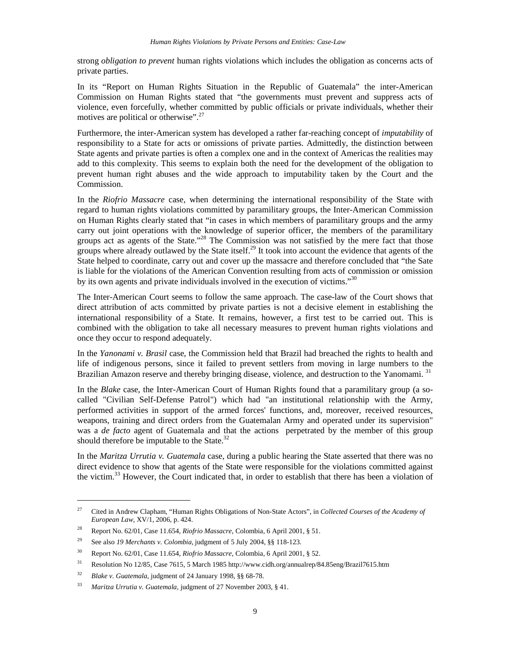strong *obligation to prevent* human rights violations which includes the obligation as concerns acts of private parties.

In its "Report on Human Rights Situation in the Republic of Guatemala" the inter-American Commission on Human Rights stated that "the governments must prevent and suppress acts of violence, even forcefully, whether committed by public officials or private individuals, whether their motives are political or otherwise".<sup>27</sup>

Furthermore, the inter-American system has developed a rather far-reaching concept of *imputability* of responsibility to a State for acts or omissions of private parties. Admittedly, the distinction between State agents and private parties is often a complex one and in the context of Americas the realities may add to this complexity. This seems to explain both the need for the development of the obligation to prevent human right abuses and the wide approach to imputability taken by the Court and the Commission.

In the *Riofrio Massacre* case, when determining the international responsibility of the State with regard to human rights violations committed by paramilitary groups, the Inter-American Commission on Human Rights clearly stated that "in cases in which members of paramilitary groups and the army carry out joint operations with the knowledge of superior officer, the members of the paramilitary groups act as agents of the State."<sup>28</sup> The Commission was not satisfied by the mere fact that those groups where already outlawed by the State itself.<sup>29</sup> It took into account the evidence that agents of the State helped to coordinate, carry out and cover up the massacre and therefore concluded that "the Sate is liable for the violations of the American Convention resulting from acts of commission or omission by its own agents and private individuals involved in the execution of victims."<sup>30</sup>

The Inter-American Court seems to follow the same approach. The case-law of the Court shows that direct attribution of acts committed by private parties is not a decisive element in establishing the international responsibility of a State. It remains, however, a first test to be carried out. This is combined with the obligation to take all necessary measures to prevent human rights violations and once they occur to respond adequately.

In the *Yanonami v. Brasil* case, the Commission held that Brazil had breached the rights to health and life of indigenous persons, since it failed to prevent settlers from moving in large numbers to the Brazilian Amazon reserve and thereby bringing disease, violence, and destruction to the Yanomami.<sup>31</sup>

In the *Blake* case, the Inter-American Court of Human Rights found that a paramilitary group (a socalled "Civilian Self-Defense Patrol") which had "an institutional relationship with the Army, performed activities in support of the armed forces' functions, and, moreover, received resources, weapons, training and direct orders from the Guatemalan Army and operated under its supervision" was a *de facto* agent of Guatemala and that the actions perpetrated by the member of this group should therefore be imputable to the State.<sup>32</sup>

In the *Maritza Urrutia v. Guatemala* case, during a public hearing the State asserted that there was no direct evidence to show that agents of the State were responsible for the violations committed against the victim.<sup>33</sup> However, the Court indicated that, in order to establish that there has been a violation of

<sup>27</sup> Cited in Andrew Clapham, "Human Rights Obligations of Non-State Actors", in *Collected Courses of the Academy of European Law*, XV/1, 2006, p. 424.

<sup>28</sup> Report No. 62/01, Case 11.654, *Riofrio Massacre*, Colombia, 6 April 2001, § 51.

<sup>29</sup> See also *19 Merchants v. Colombia*, judgment of 5 July 2004, §§ 118-123.

<sup>30</sup> Report No. 62/01, Case 11.654, *Riofrio Massacre*, Colombia, 6 April 2001, § 52.

<sup>31</sup> Resolution No 12/85, Case 7615, 5 March 1985 http://www.cidh.org/annualrep/84.85eng/Brazil7615.htm

<sup>32</sup> *Blake v. Guatemala*, judgment of 24 January 1998, §§ 68-78.

<sup>33</sup>*Maritza Urrutia v. Guatemala*, judgment of 27 November 2003, § 41.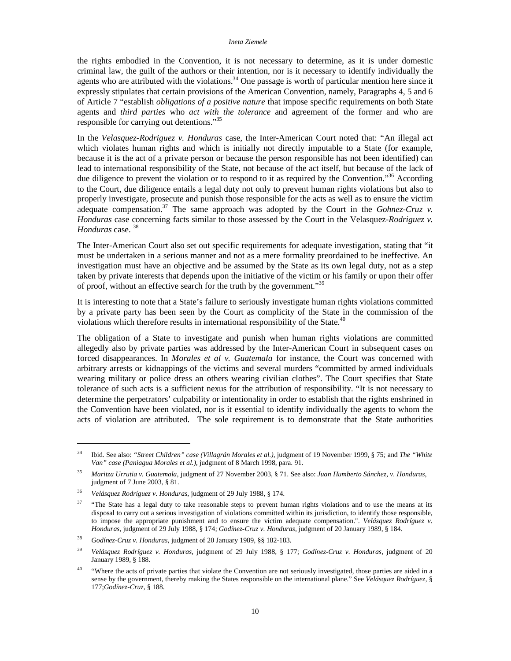the rights embodied in the Convention, it is not necessary to determine, as it is under domestic criminal law, the guilt of the authors or their intention, nor is it necessary to identify individually the agents who are attributed with the violations.<sup>34</sup> One passage is worth of particular mention here since it expressly stipulates that certain provisions of the American Convention, namely, Paragraphs 4, 5 and 6 of Article 7 "establish *obligations of a positive nature* that impose specific requirements on both State agents and *third parties* who *act with the tolerance* and agreement of the former and who are responsible for carrying out detentions."<sup>35</sup>

In the *Velasquez-Rodriguez v. Honduras* case, the Inter-American Court noted that: "An illegal act which violates human rights and which is initially not directly imputable to a State (for example, because it is the act of a private person or because the person responsible has not been identified) can lead to international responsibility of the State, not because of the act itself, but because of the lack of due diligence to prevent the violation or to respond to it as required by the Convention.<sup>356</sup> According to the Court, due diligence entails a legal duty not only to prevent human rights violations but also to properly investigate, prosecute and punish those responsible for the acts as well as to ensure the victim adequate compensation.<sup>37</sup> The same approach was adopted by the Court in the *Gohnez-Cruz v*. *Honduras* case concerning facts similar to those assessed by the Court in the Velasquez*-Rodriguez v. Honduras* case. 38

The Inter-American Court also set out specific requirements for adequate investigation, stating that "it must be undertaken in a serious manner and not as a mere formality preordained to be ineffective. An investigation must have an objective and be assumed by the State as its own legal duty, not as a step taken by private interests that depends upon the initiative of the victim or his family or upon their offer of proof, without an effective search for the truth by the government."<sup>39</sup>

It is interesting to note that a State's failure to seriously investigate human rights violations committed by a private party has been seen by the Court as complicity of the State in the commission of the violations which therefore results in international responsibility of the State.<sup>40</sup>

The obligation of a State to investigate and punish when human rights violations are committed allegedly also by private parties was addressed by the Inter-American Court in subsequent cases on forced disappearances. In *Morales et al v. Guatemala* for instance, the Court was concerned with arbitrary arrests or kidnappings of the victims and several murders "committed by armed individuals wearing military or police dress an others wearing civilian clothes". The Court specifies that State tolerance of such acts is a sufficient nexus for the attribution of responsibility. "It is not necessary to determine the perpetrators' culpability or intentionality in order to establish that the rights enshrined in the Convention have been violated, nor is it essential to identify individually the agents to whom the acts of violation are attributed. The sole requirement is to demonstrate that the State authorities

<sup>34</sup> Ibid. See also: *"Street Children" case (Villagrán Morales et al.),* judgment of 19 November 1999*,* § 75*;* and *The "White Van" case (Paniagua Morales et al.),* judgment of 8 March 1998, para. 91.

<sup>35</sup> *Maritza Urrutia v. Guatemala*, judgment of 27 November 2003, § 71. See also: *Juan Humberto Sánchez, v. Honduras*, judgment of 7 June 2003, § 81.

<sup>36</sup> *Velásquez Rodríguez v. Honduras*, judgment of 29 July 1988, § 174.

<sup>&</sup>lt;sup>37</sup> "The State has a legal duty to take reasonable steps to prevent human rights violations and to use the means at its disposal to carry out a serious investigation of violations committed within its jurisdiction, to identify those responsible, to impose the appropriate punishment and to ensure the victim adequate compensation.". *Velásquez Rodríguez v. Honduras*, judgment of 29 July 1988, § 174; *Godínez-Cruz v. Honduras*, judgment of 20 January 1989, § 184.

<sup>38</sup> *Godínez-Cruz v. Honduras*, judgment of 20 January 1989, §§ 182-183.

<sup>39</sup> *Velásquez Rodríguez v. Honduras*, judgment of 29 July 1988, § 177; *Godínez-Cruz v. Honduras*, judgment of 20 January 1989, § 188.

<sup>&</sup>lt;sup>40</sup> "Where the acts of private parties that violate the Convention are not seriously investigated, those parties are aided in a sense by the government, thereby making the States responsible on the international plane." See *Velásquez Rodríguez,* § 177;*Godínez*-*Cruz,* § 188.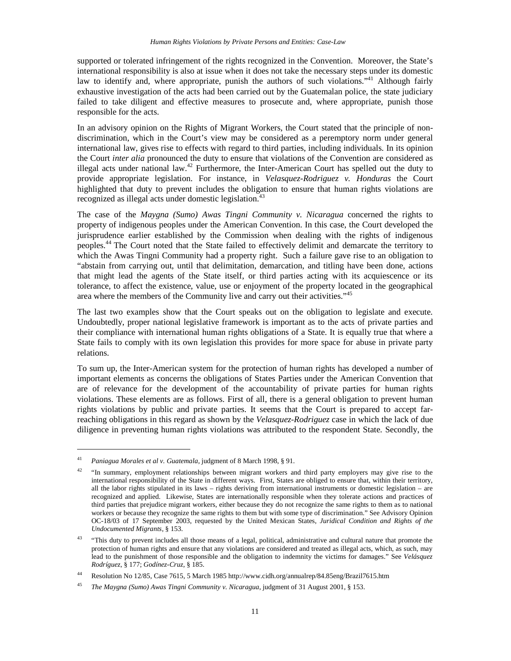supported or tolerated infringement of the rights recognized in the Convention. Moreover, the State's international responsibility is also at issue when it does not take the necessary steps under its domestic law to identify and, where appropriate, punish the authors of such violations."<sup>41</sup> Although fairly exhaustive investigation of the acts had been carried out by the Guatemalan police, the state judiciary failed to take diligent and effective measures to prosecute and, where appropriate, punish those responsible for the acts.

In an advisory opinion on the Rights of Migrant Workers, the Court stated that the principle of nondiscrimination, which in the Court's view may be considered as a peremptory norm under general international law, gives rise to effects with regard to third parties, including individuals. In its opinion the Court *inter alia* pronounced the duty to ensure that violations of the Convention are considered as illegal acts under national law.<sup>42</sup> Furthermore, the Inter-American Court has spelled out the duty to provide appropriate legislation. For instance, in *Velasquez-Rodriguez v. Honduras* the Court highlighted that duty to prevent includes the obligation to ensure that human rights violations are recognized as illegal acts under domestic legislation.<sup>43</sup>

The case of the *Maygna (Sumo) Awas Tingni Community v. Nicaragua* concerned the rights to property of indigenous peoples under the American Convention. In this case, the Court developed the jurisprudence earlier established by the Commission when dealing with the rights of indigenous peoples.<sup>44</sup>The Court noted that the State failed to effectively delimit and demarcate the territory to which the Awas Tingni Community had a property right. Such a failure gave rise to an obligation to "abstain from carrying out, until that delimitation, demarcation, and titling have been done, actions that might lead the agents of the State itself, or third parties acting with its acquiescence or its tolerance, to affect the existence, value, use or enjoyment of the property located in the geographical area where the members of the Community live and carry out their activities."<sup>45</sup>

The last two examples show that the Court speaks out on the obligation to legislate and execute. Undoubtedly, proper national legislative framework is important as to the acts of private parties and their compliance with international human rights obligations of a State. It is equally true that where a State fails to comply with its own legislation this provides for more space for abuse in private party relations.

To sum up, the Inter-American system for the protection of human rights has developed a number of important elements as concerns the obligations of States Parties under the American Convention that are of relevance for the development of the accountability of private parties for human rights violations. These elements are as follows. First of all, there is a general obligation to prevent human rights violations by public and private parties. It seems that the Court is prepared to accept farreaching obligations in this regard as shown by the *Velasquez-Rodriguez* case in which the lack of due diligence in preventing human rights violations was attributed to the respondent State. Secondly, the

<sup>41</sup> *Paniagua Morales et al v. Guatemala*, judgment of 8 March 1998, § 91.

<sup>&</sup>lt;sup>42</sup> "In summary, employment relationships between migrant workers and third party employers may give rise to the international responsibility of the State in different ways. First, States are obliged to ensure that, within their territory, all the labor rights stipulated in its laws – rights deriving from international instruments or domestic legislation – are recognized and applied. Likewise, States are internationally responsible when they tolerate actions and practices of third parties that prejudice migrant workers, either because they do not recognize the same rights to them as to national workers or because they recognize the same rights to them but with some type of discrimination." See Advisory Opinion OC-18/03 of 17 September 2003, requested by the United Mexican States, *Juridical Condition and Rights of the Undocumented Migrants*, § 153.

<sup>&</sup>lt;sup>43</sup> "This duty to prevent includes all those means of a legal, political, administrative and cultural nature that promote the protection of human rights and ensure that any violations are considered and treated as illegal acts, which, as such, may lead to the punishment of those responsible and the obligation to indemnity the victims for damages." See *Velásquez Rodríguez*, § 177; *Godínez-Cruz*, § 185.

<sup>44</sup> Resolution No 12/85, Case 7615, 5 March 1985 http://www.cidh.org/annualrep/84.85eng/Brazil7615.htm

<sup>45</sup> *The Maygna (Sumo) Awas Tingni Community v. Nicaragua*, judgment of 31 August 2001, § 153.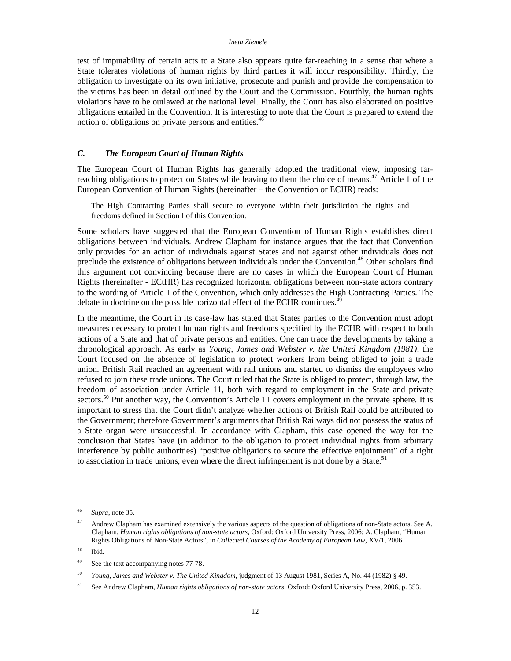test of imputability of certain acts to a State also appears quite far-reaching in a sense that where a State tolerates violations of human rights by third parties it will incur responsibility. Thirdly, the obligation to investigate on its own initiative, prosecute and punish and provide the compensation to the victims has been in detail outlined by the Court and the Commission. Fourthly, the human rights violations have to be outlawed at the national level. Finally, the Court has also elaborated on positive obligations entailed in the Convention. It is interesting to note that the Court is prepared to extend the notion of obligations on private persons and entities.<sup>46</sup>

## *C. The European Court of Human Rights*

The European Court of Human Rights has generally adopted the traditional view, imposing farreaching obligations to protect on States while leaving to them the choice of means.<sup>47</sup> Article 1 of the European Convention of Human Rights (hereinafter – the Convention or ECHR) reads:

The High Contracting Parties shall secure to everyone within their jurisdiction the rights and freedoms defined in Section I of this Convention.

Some scholars have suggested that the European Convention of Human Rights establishes direct obligations between individuals. Andrew Clapham for instance argues that the fact that Convention only provides for an action of individuals against States and not against other individuals does not preclude the existence of obligations between individuals under the Convention.<sup>48</sup> Other scholars find this argument not convincing because there are no cases in which the European Court of Human Rights (hereinafter - ECtHR) has recognized horizontal obligations between non-state actors contrary to the wording of Article 1 of the Convention, which only addresses the High Contracting Parties. The debate in doctrine on the possible horizontal effect of the ECHR continues.<sup>49</sup>

In the meantime, the Court in its case-law has stated that States parties to the Convention must adopt measures necessary to protect human rights and freedoms specified by the ECHR with respect to both actions of a State and that of private persons and entities. One can trace the developments by taking a chronological approach. As early as *Young, James and Webster v. the United Kingdom (1981),* the Court focused on the absence of legislation to protect workers from being obliged to join a trade union. British Rail reached an agreement with rail unions and started to dismiss the employees who refused to join these trade unions. The Court ruled that the State is obliged to protect, through law, the freedom of association under Article 11, both with regard to employment in the State and private sectors.<sup>50</sup> Put another way, the Convention's Article 11 covers employment in the private sphere. It is important to stress that the Court didn't analyze whether actions of British Rail could be attributed to the Government; therefore Government's arguments that British Railways did not possess the status of a State organ were unsuccessful. In accordance with Clapham, this case opened the way for the conclusion that States have (in addition to the obligation to protect individual rights from arbitrary interference by public authorities) "positive obligations to secure the effective enjoinment" of a right to association in trade unions, even where the direct infringement is not done by a State.<sup>51</sup>

<sup>46</sup> *Supra*, note 35.

<sup>&</sup>lt;sup>47</sup> Andrew Clapham has examined extensively the various aspects of the question of obligations of non-State actors. See A. Clapham, *Human rights obligations of non-state actors*, Oxford: Oxford University Press, 2006; A. Clapham, "Human Rights Obligations of Non-State Actors", in *Collected Courses of the Academy of European Law*, XV/1, 2006

<sup>48</sup> Ibid.

<sup>&</sup>lt;sup>49</sup> See the text accompanying notes 77-78.

<sup>50</sup> *Young, James and Webster v. The United Kingdom*, judgment of 13 August 1981, Series A, No. 44 (1982) § 49.

<sup>51</sup> See Andrew Clapham, *Human rights obligations of non-state actors*, Oxford: Oxford University Press, 2006, p. 353.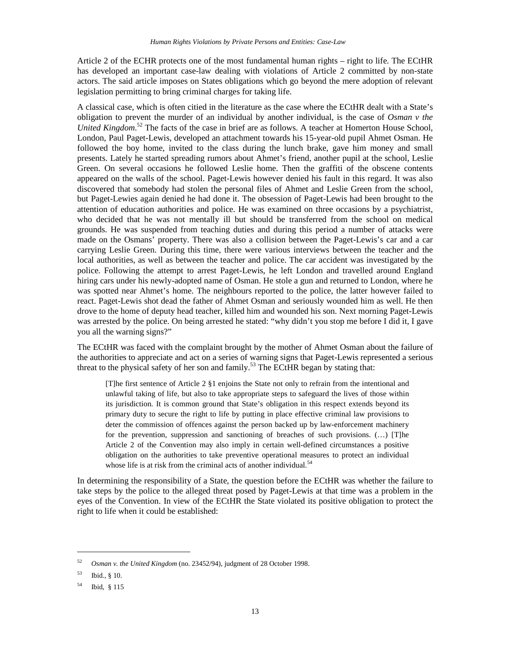Article 2 of the ECHR protects one of the most fundamental human rights – right to life. The ECtHR has developed an important case-law dealing with violations of Article 2 committed by non-state actors. The said article imposes on States obligations which go beyond the mere adoption of relevant legislation permitting to bring criminal charges for taking life.

A classical case, which is often citied in the literature as the case where the ECtHR dealt with a State's obligation to prevent the murder of an individual by another individual, is the case of *Osman v the United Kingdom*. <sup>52</sup> The facts of the case in brief are as follows. A teacher at Homerton House School, London, Paul Paget-Lewis, developed an attachment towards his 15-year-old pupil Ahmet Osman. He followed the boy home, invited to the class during the lunch brake, gave him money and small presents. Lately he started spreading rumors about Ahmet's friend, another pupil at the school, Leslie Green. On several occasions he followed Leslie home. Then the graffiti of the obscene contents appeared on the walls of the school. Paget-Lewis however denied his fault in this regard. It was also discovered that somebody had stolen the personal files of Ahmet and Leslie Green from the school, but Paget-Lewies again denied he had done it. The obsession of Paget-Lewis had been brought to the attention of education authorities and police. He was examined on three occasions by a psychiatrist, who decided that he was not mentally ill but should be transferred from the school on medical grounds. He was suspended from teaching duties and during this period a number of attacks were made on the Osmans' property. There was also a collision between the Paget-Lewis's car and a car carrying Leslie Green. During this time, there were various interviews between the teacher and the local authorities, as well as between the teacher and police. The car accident was investigated by the police. Following the attempt to arrest Paget-Lewis, he left London and travelled around England hiring cars under his newly-adopted name of Osman. He stole a gun and returned to London, where he was spotted near Ahmet's home. The neighbours reported to the police, the latter however failed to react. Paget-Lewis shot dead the father of Ahmet Osman and seriously wounded him as well. He then drove to the home of deputy head teacher, killed him and wounded his son. Next morning Paget-Lewis was arrested by the police. On being arrested he stated: "why didn't you stop me before I did it, I gave you all the warning signs?"

The ECtHR was faced with the complaint brought by the mother of Ahmet Osman about the failure of the authorities to appreciate and act on a series of warning signs that Paget-Lewis represented a serious threat to the physical safety of her son and family.<sup>53</sup> The ECtHR began by stating that:

[T]he first sentence of Article 2 §1 enjoins the State not only to refrain from the intentional and unlawful taking of life, but also to take appropriate steps to safeguard the lives of those within its jurisdiction. It is common ground that State's obligation in this respect extends beyond its primary duty to secure the right to life by putting in place effective criminal law provisions to deter the commission of offences against the person backed up by law-enforcement machinery for the prevention, suppression and sanctioning of breaches of such provisions. (…) [T]he Article 2 of the Convention may also imply in certain well-defined circumstances a positive obligation on the authorities to take preventive operational measures to protect an individual whose life is at risk from the criminal acts of another individual.<sup>54</sup>

In determining the responsibility of a State, the question before the ECtHR was whether the failure to take steps by the police to the alleged threat posed by Paget-Lewis at that time was a problem in the eyes of the Convention. In view of the ECtHR the State violated its positive obligation to protect the right to life when it could be established:

<sup>52</sup> *Osman v. the United Kingdom* (no. 23452/94), judgment of 28 October 1998.

<sup>53</sup> Ibid., § 10.

<sup>54</sup> Ibid, § 115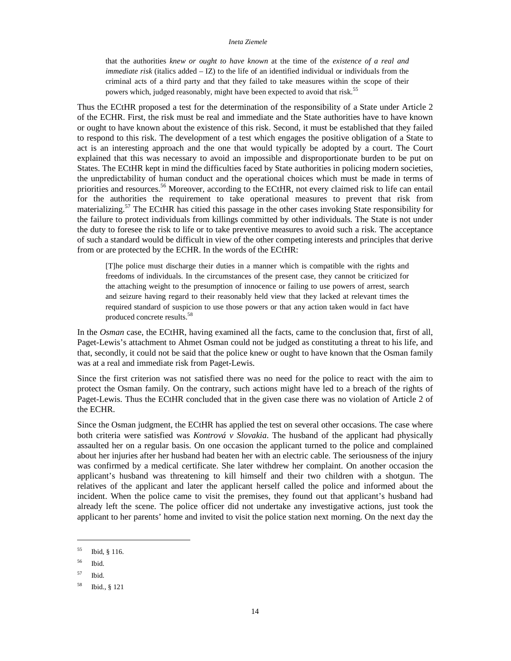that the authorities *knew or ought to have known* at the time of the *existence of a real and immediate risk* (italics added – IZ) to the life of an identified individual or individuals from the criminal acts of a third party and that they failed to take measures within the scope of their powers which, judged reasonably, might have been expected to avoid that risk.<sup>55</sup>

Thus the ECtHR proposed a test for the determination of the responsibility of a State under Article 2 of the ECHR. First, the risk must be real and immediate and the State authorities have to have known or ought to have known about the existence of this risk. Second, it must be established that they failed to respond to this risk. The development of a test which engages the positive obligation of a State to act is an interesting approach and the one that would typically be adopted by a court. The Court explained that this was necessary to avoid an impossible and disproportionate burden to be put on States. The ECtHR kept in mind the difficulties faced by State authorities in policing modern societies, the unpredictability of human conduct and the operational choices which must be made in terms of priorities and resources.<sup>56</sup> Moreover, according to the ECtHR, not every claimed risk to life can entail for the authorities the requirement to take operational measures to prevent that risk from materializing.<sup>57</sup> The ECtHR has citied this passage in the other cases invoking State responsibility for the failure to protect individuals from killings committed by other individuals. The State is not under the duty to foresee the risk to life or to take preventive measures to avoid such a risk. The acceptance of such a standard would be difficult in view of the other competing interests and principles that derive from or are protected by the ECHR. In the words of the ECtHR:

[T]he police must discharge their duties in a manner which is compatible with the rights and freedoms of individuals. In the circumstances of the present case, they cannot be criticized for the attaching weight to the presumption of innocence or failing to use powers of arrest, search and seizure having regard to their reasonably held view that they lacked at relevant times the required standard of suspicion to use those powers or that any action taken would in fact have produced concrete results.<sup>58</sup>

In the *Osman* case, the ECtHR, having examined all the facts, came to the conclusion that, first of all, Paget-Lewis's attachment to Ahmet Osman could not be judged as constituting a threat to his life, and that, secondly, it could not be said that the police knew or ought to have known that the Osman family was at a real and immediate risk from Paget-Lewis.

Since the first criterion was not satisfied there was no need for the police to react with the aim to protect the Osman family. On the contrary, such actions might have led to a breach of the rights of Paget-Lewis. Thus the ECtHR concluded that in the given case there was no violation of Article 2 of the ECHR.

Since the Osman judgment, the ECtHR has applied the test on several other occasions. The case where both criteria were satisfied was *Kontrová v Slovakia*. The husband of the applicant had physically assaulted her on a regular basis. On one occasion the applicant turned to the police and complained about her injuries after her husband had beaten her with an electric cable. The seriousness of the injury was confirmed by a medical certificate. She later withdrew her complaint. On another occasion the applicant's husband was threatening to kill himself and their two children with a shotgun. The relatives of the applicant and later the applicant herself called the police and informed about the incident. When the police came to visit the premises, they found out that applicant's husband had already left the scene. The police officer did not undertake any investigative actions, just took the applicant to her parents' home and invited to visit the police station next morning. On the next day the

<sup>55</sup> Ibid, § 116.

<sup>56</sup> Ibid.

<sup>57</sup> Ibid.

<sup>58</sup> Ibid., § 121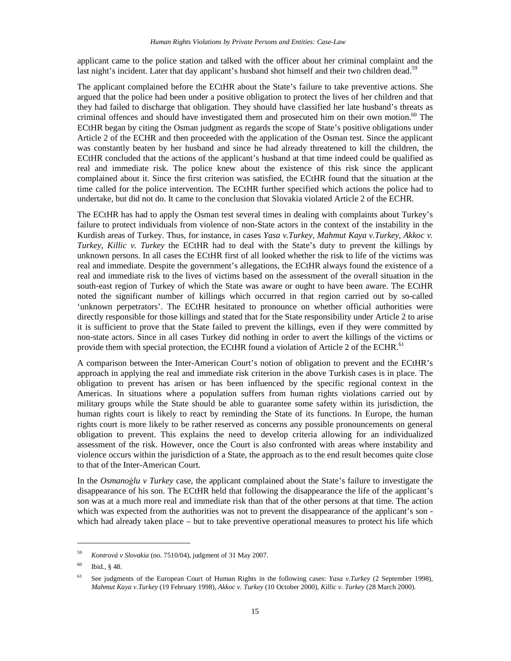applicant came to the police station and talked with the officer about her criminal complaint and the last night's incident. Later that day applicant's husband shot himself and their two children dead.<sup>59</sup>

The applicant complained before the ECtHR about the State's failure to take preventive actions. She argued that the police had been under a positive obligation to protect the lives of her children and that they had failed to discharge that obligation. They should have classified her late husband's threats as criminal offences and should have investigated them and prosecuted him on their own motion.<sup>60</sup> The ECtHR began by citing the Osman judgment as regards the scope of State's positive obligations under Article 2 of the ECHR and then proceeded with the application of the Osman test. Since the applicant was constantly beaten by her husband and since he had already threatened to kill the children, the ECtHR concluded that the actions of the applicant's husband at that time indeed could be qualified as real and immediate risk. The police knew about the existence of this risk since the applicant complained about it. Since the first criterion was satisfied, the ECtHR found that the situation at the time called for the police intervention. The ECtHR further specified which actions the police had to undertake, but did not do. It came to the conclusion that Slovakia violated Article 2 of the ECHR.

The ECtHR has had to apply the Osman test several times in dealing with complaints about Turkey's failure to protect individuals from violence of non-State actors in the context of the instability in the Kurdish areas of Turkey. Thus, for instance, in cases *Yasa v.Turkey*, *Mahmut Kaya v.Turkey*, *Akkoc v. Turkey*, *Killic v. Turkey* the ECtHR had to deal with the State's duty to prevent the killings by unknown persons. In all cases the ECtHR first of all looked whether the risk to life of the victims was real and immediate. Despite the government's allegations, the ECtHR always found the existence of a real and immediate risk to the lives of victims based on the assessment of the overall situation in the south-east region of Turkey of which the State was aware or ought to have been aware. The ECtHR noted the significant number of killings which occurred in that region carried out by so-called 'unknown perpetrators'. The ECtHR hesitated to pronounce on whether official authorities were directly responsible for those killings and stated that for the State responsibility under Article 2 to arise it is sufficient to prove that the State failed to prevent the killings, even if they were committed by non-state actors. Since in all cases Turkey did nothing in order to avert the killings of the victims or provide them with special protection, the ECtHR found a violation of Article 2 of the ECHR.<sup>61</sup>

A comparison between the Inter-American Court's notion of obligation to prevent and the ECtHR's approach in applying the real and immediate risk criterion in the above Turkish cases is in place. The obligation to prevent has arisen or has been influenced by the specific regional context in the Americas. In situations where a population suffers from human rights violations carried out by military groups while the State should be able to guarantee some safety within its jurisdiction, the human rights court is likely to react by reminding the State of its functions. In Europe, the human rights court is more likely to be rather reserved as concerns any possible pronouncements on general obligation to prevent. This explains the need to develop criteria allowing for an individualized assessment of the risk. However, once the Court is also confronted with areas where instability and violence occurs within the jurisdiction of a State, the approach as to the end result becomes quite close to that of the Inter-American Court.

In the *Osmano*ă*lu v Turkey* case, the applicant complained about the State's failure to investigate the disappearance of his son. The ECtHR held that following the disappearance the life of the applicant's son was at a much more real and immediate risk than that of the other persons at that time. The action which was expected from the authorities was not to prevent the disappearance of the applicant's son which had already taken place – but to take preventive operational measures to protect his life which

<sup>59</sup> *Kontrová v Slovakia* (no. 7510/04), judgment of 31 May 2007.

 $60$  Ibid.,  $848$ .

<sup>61</sup> See judgments of the European Court of Human Rights in the following cases: *Yasa v.Turkey* (2 September 1998), *Mahmut Kaya v.Turkey* (19 February 1998), *Akkoc v. Turkey* (10 October 2000), *Killic v. Turkey* (28 March 2000).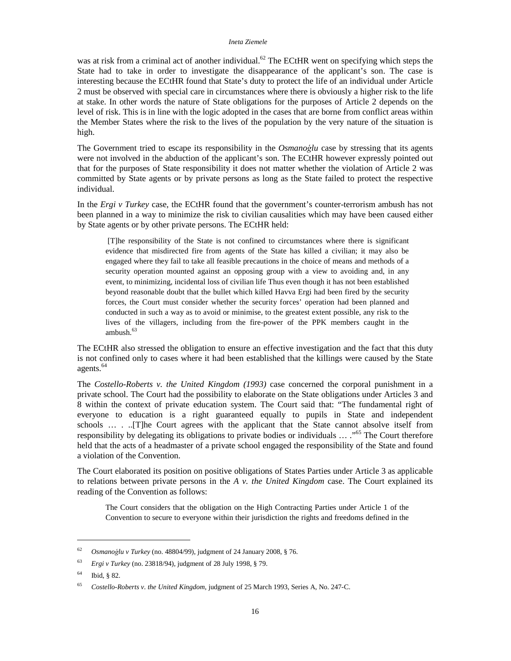was at risk from a criminal act of another individual.<sup>62</sup> The ECtHR went on specifying which steps the State had to take in order to investigate the disappearance of the applicant's son. The case is interesting because the ECtHR found that State's duty to protect the life of an individual under Article 2 must be observed with special care in circumstances where there is obviously a higher risk to the life at stake. In other words the nature of State obligations for the purposes of Article 2 depends on the level of risk. This is in line with the logic adopted in the cases that are borne from conflict areas within the Member States where the risk to the lives of the population by the very nature of the situation is high.

The Government tried to escape its responsibility in the *Osmanoglu* case by stressing that its agents were not involved in the abduction of the applicant's son. The ECtHR however expressly pointed out that for the purposes of State responsibility it does not matter whether the violation of Article 2 was committed by State agents or by private persons as long as the State failed to protect the respective individual.

In the *Ergi v Turkey* case, the ECtHR found that the government's counter-terrorism ambush has not been planned in a way to minimize the risk to civilian causalities which may have been caused either by State agents or by other private persons. The ECtHR held:

[T]he responsibility of the State is not confined to circumstances where there is significant evidence that misdirected fire from agents of the State has killed a civilian; it may also be engaged where they fail to take all feasible precautions in the choice of means and methods of a security operation mounted against an opposing group with a view to avoiding and, in any event, to minimizing, incidental loss of civilian life Thus even though it has not been established beyond reasonable doubt that the bullet which killed Havva Ergi had been fired by the security forces, the Court must consider whether the security forces' operation had been planned and conducted in such a way as to avoid or minimise, to the greatest extent possible, any risk to the lives of the villagers, including from the fire-power of the PPK members caught in the ambush. $63$ 

The ECtHR also stressed the obligation to ensure an effective investigation and the fact that this duty is not confined only to cases where it had been established that the killings were caused by the State agents.<sup>64</sup>

The *Costello-Roberts v. the United Kingdom (1993)* case concerned the corporal punishment in a private school. The Court had the possibility to elaborate on the State obligations under Articles 3 and 8 within the context of private education system. The Court said that: "The fundamental right of everyone to education is a right guaranteed equally to pupils in State and independent schools … . ..[T]he Court agrees with the applicant that the State cannot absolve itself from responsibility by delegating its obligations to private bodies or individuals ... .<sup>65</sup> The Court therefore held that the acts of a headmaster of a private school engaged the responsibility of the State and found a violation of the Convention.

The Court elaborated its position on positive obligations of States Parties under Article 3 as applicable to relations between private persons in the *A v. the United Kingdom* case. The Court explained its reading of the Convention as follows:

The Court considers that the obligation on the High Contracting Parties under Article 1 of the Convention to secure to everyone within their jurisdiction the rights and freedoms defined in the

<sup>62</sup> *Osmano*ă*lu v Turkey* (no. 48804/99), judgment of 24 January 2008, § 76.

<sup>63</sup> *Ergi v Turkey* (no. 23818/94), judgment of 28 July 1998, § 79.

<sup>64</sup> Ibid, § 82.

<sup>65</sup> *Costello-Roberts v. the United Kingdom*, judgment of 25 March 1993, Series A, No. 247-C.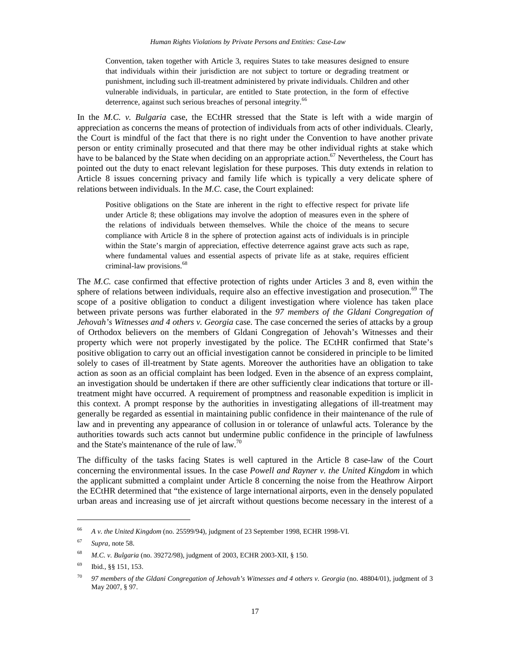Convention, taken together with Article 3, requires States to take measures designed to ensure that individuals within their jurisdiction are not subject to torture or degrading treatment or punishment, including such ill-treatment administered by private individuals. Children and other vulnerable individuals, in particular, are entitled to State protection, in the form of effective deterrence, against such serious breaches of personal integrity.<sup>66</sup>

In the *M.C. v. Bulgaria* case, the ECtHR stressed that the State is left with a wide margin of appreciation as concerns the means of protection of individuals from acts of other individuals. Clearly, the Court is mindful of the fact that there is no right under the Convention to have another private person or entity criminally prosecuted and that there may be other individual rights at stake which have to be balanced by the State when deciding on an appropriate action.<sup>67</sup> Nevertheless, the Court has pointed out the duty to enact relevant legislation for these purposes. This duty extends in relation to Article 8 issues concerning privacy and family life which is typically a very delicate sphere of relations between individuals. In the *M.C.* case, the Court explained:

Positive obligations on the State are inherent in the right to effective respect for private life under Article 8; these obligations may involve the adoption of measures even in the sphere of the relations of individuals between themselves. While the choice of the means to secure compliance with Article 8 in the sphere of protection against acts of individuals is in principle within the State's margin of appreciation, effective deterrence against grave acts such as rape, where fundamental values and essential aspects of private life as at stake, requires efficient criminal-law provisions.<sup>68</sup>

The *M.C.* case confirmed that effective protection of rights under Articles 3 and 8, even within the sphere of relations between individuals, require also an effective investigation and prosecution.<sup>69</sup> The scope of a positive obligation to conduct a diligent investigation where violence has taken place between private persons was further elaborated in the *97 members of the Gldani Congregation of Jehovah's Witnesses and 4 others v. Georgia* case. The case concerned the series of attacks by a group of Orthodox believers on the members of Gldani Congregation of Jehovah's Witnesses and their property which were not properly investigated by the police. The ECtHR confirmed that State's positive obligation to carry out an official investigation cannot be considered in principle to be limited solely to cases of ill-treatment by State agents. Moreover the authorities have an obligation to take action as soon as an official complaint has been lodged. Even in the absence of an express complaint, an investigation should be undertaken if there are other sufficiently clear indications that torture or illtreatment might have occurred. A requirement of promptness and reasonable expedition is implicit in this context. A prompt response by the authorities in investigating allegations of ill-treatment may generally be regarded as essential in maintaining public confidence in their maintenance of the rule of law and in preventing any appearance of collusion in or tolerance of unlawful acts. Tolerance by the authorities towards such acts cannot but undermine public confidence in the principle of lawfulness and the State's maintenance of the rule of law.<sup>70</sup>

The difficulty of the tasks facing States is well captured in the Article 8 case-law of the Court concerning the environmental issues. In the case *Powell and Rayner v. the United Kingdom* in which the applicant submitted a complaint under Article 8 concerning the noise from the Heathrow Airport the ECtHR determined that "the existence of large international airports, even in the densely populated urban areas and increasing use of jet aircraft without questions become necessary in the interest of a

<sup>66</sup> *A v. the United Kingdom* (no. 25599/94), judgment of 23 September 1998, ECHR 1998-VI.

<sup>67</sup> *Supra*, note 58.

<sup>68</sup> *M.C. v. Bulgaria* (no. 39272/98), judgment of 2003, ECHR 2003-XII, § 150.

<sup>69</sup> Ibid., §§ 151, 153.

<sup>70</sup> *97 members of the Gldani Congregation of Jehovah's Witnesses and 4 others v. Georgia* (no. 48804/01), judgment of 3 May 2007, § 97.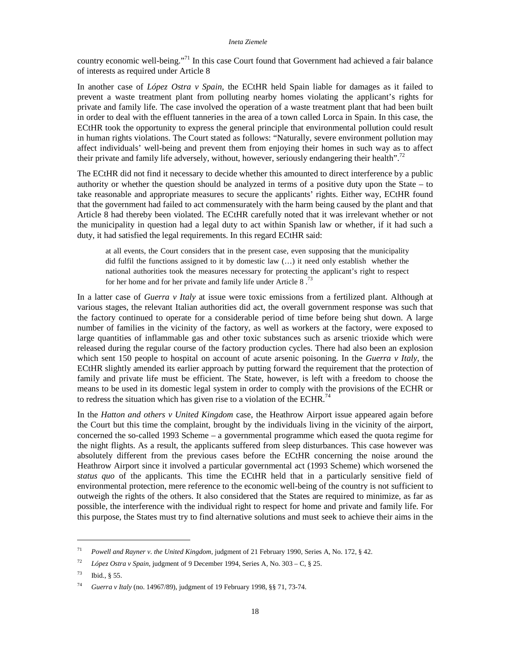country economic well-being."<sup>71</sup> In this case Court found that Government had achieved a fair balance of interests as required under Article 8

In another case of *López Ostra v Spain*, the ECtHR held Spain liable for damages as it failed to prevent a waste treatment plant from polluting nearby homes violating the applicant's rights for private and family life. The case involved the operation of a waste treatment plant that had been built in order to deal with the effluent tanneries in the area of a town called Lorca in Spain. In this case, the ECtHR took the opportunity to express the general principle that environmental pollution could result in human rights violations. The Court stated as follows: "Naturally, severe environment pollution may affect individuals' well-being and prevent them from enjoying their homes in such way as to affect their private and family life adversely, without, however, seriously endangering their health".<sup>72</sup>

The ECtHR did not find it necessary to decide whether this amounted to direct interference by a public authority or whether the question should be analyzed in terms of a positive duty upon the State – to take reasonable and appropriate measures to secure the applicants' rights. Either way, ECtHR found that the government had failed to act commensurately with the harm being caused by the plant and that Article 8 had thereby been violated. The ECtHR carefully noted that it was irrelevant whether or not the municipality in question had a legal duty to act within Spanish law or whether, if it had such a duty, it had satisfied the legal requirements. In this regard ECtHR said:

at all events, the Court considers that in the present case, even supposing that the municipality did fulfil the functions assigned to it by domestic law (…) it need only establish whether the national authorities took the measures necessary for protecting the applicant's right to respect for her home and for her private and family life under Article 8 .<sup>73</sup>

In a latter case of *Guerra v Italy* at issue were toxic emissions from a fertilized plant. Although at various stages, the relevant Italian authorities did act, the overall government response was such that the factory continued to operate for a considerable period of time before being shut down. A large number of families in the vicinity of the factory, as well as workers at the factory, were exposed to large quantities of inflammable gas and other toxic substances such as arsenic trioxide which were released during the regular course of the factory production cycles. There had also been an explosion which sent 150 people to hospital on account of acute arsenic poisoning. In the *Guerra v Italy*, the ECtHR slightly amended its earlier approach by putting forward the requirement that the protection of family and private life must be efficient. The State, however, is left with a freedom to choose the means to be used in its domestic legal system in order to comply with the provisions of the ECHR or to redress the situation which has given rise to a violation of the ECHR.<sup>74</sup>

In the *Hatton and others v United Kingdom* case, the Heathrow Airport issue appeared again before the Court but this time the complaint, brought by the individuals living in the vicinity of the airport, concerned the so-called 1993 Scheme – a governmental programme which eased the quota regime for the night flights. As a result, the applicants suffered from sleep disturbances. This case however was absolutely different from the previous cases before the ECtHR concerning the noise around the Heathrow Airport since it involved a particular governmental act (1993 Scheme) which worsened the *status quo* of the applicants. This time the ECtHR held that in a particularly sensitive field of environmental protection, mere reference to the economic well-being of the country is not sufficient to outweigh the rights of the others. It also considered that the States are required to minimize, as far as possible, the interference with the individual right to respect for home and private and family life. For this purpose, the States must try to find alternative solutions and must seek to achieve their aims in the

<sup>71</sup> *Powell and Rayner v. the United Kingdom*, judgment of 21 February 1990, Series A, No. 172, § 42.

<sup>72</sup> *López Ostra v Spain*, judgment of 9 December 1994, Series A, No. 303 – C, § 25.

 $^{73}$  Ibid.,  $8\,55$ .

<sup>74</sup> *Guerra v Italy* (no. 14967/89), judgment of 19 February 1998, §§ 71, 73-74.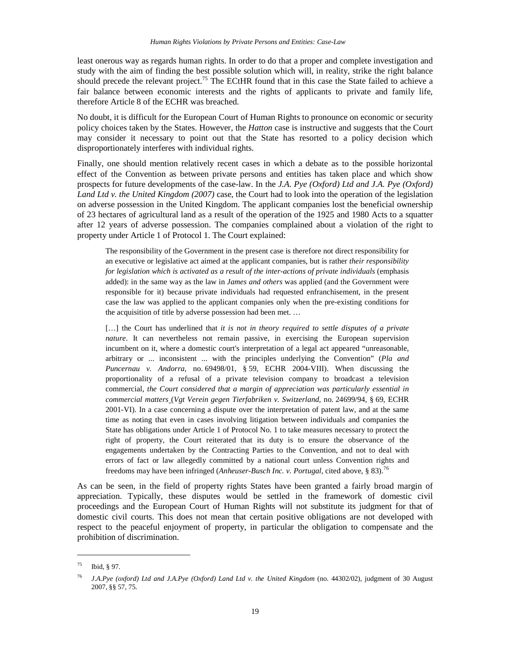least onerous way as regards human rights. In order to do that a proper and complete investigation and study with the aim of finding the best possible solution which will, in reality, strike the right balance should precede the relevant project.<sup>75</sup> The ECtHR found that in this case the State failed to achieve a fair balance between economic interests and the rights of applicants to private and family life, therefore Article 8 of the ECHR was breached.

No doubt, it is difficult for the European Court of Human Rights to pronounce on economic or security policy choices taken by the States. However, the *Hatton* case is instructive and suggests that the Court may consider it necessary to point out that the State has resorted to a policy decision which disproportionately interferes with individual rights.

Finally, one should mention relatively recent cases in which a debate as to the possible horizontal effect of the Convention as between private persons and entities has taken place and which show prospects for future developments of the case-law. In the *J.A. Pye (Oxford) Ltd and J.A. Pye (Oxford) Land Ltd v. the United Kingdom (2007)* case, the Court had to look into the operation of the legislation on adverse possession in the United Kingdom. The applicant companies lost the beneficial ownership of 23 hectares of agricultural land as a result of the operation of the 1925 and 1980 Acts to a squatter after 12 years of adverse possession. The companies complained about a violation of the right to property under Article 1 of Protocol 1. The Court explained:

The responsibility of the Government in the present case is therefore not direct responsibility for an executive or legislative act aimed at the applicant companies, but is rather *their responsibility for legislation which is activated as a result of the inter-actions of private individuals* (emphasis added): in the same way as the law in *James and others* was applied (and the Government were responsible for it) because private individuals had requested enfranchisement, in the present case the law was applied to the applicant companies only when the pre-existing conditions for the acquisition of title by adverse possession had been met. …

[...] the Court has underlined that *it is not in theory required to settle disputes of a private nature*. It can nevertheless not remain passive, in exercising the European supervision incumbent on it, where a domestic court's interpretation of a legal act appeared "unreasonable, arbitrary or ... inconsistent ... with the principles underlying the Convention" (*Pla and Puncernau v. Andorra*, no. 69498/01, § 59, ECHR 2004-VIII). When discussing the proportionality of a refusal of a private television company to broadcast a television commercial, *the Court considered that a margin of appreciation was particularly essential in commercial matters* (*Vgt Verein gegen Tierfabriken v. Switzerland*, no. 24699/94, § 69, ECHR 2001-VI). In a case concerning a dispute over the interpretation of patent law, and at the same time as noting that even in cases involving litigation between individuals and companies the State has obligations under Article 1 of Protocol No. 1 to take measures necessary to protect the right of property, the Court reiterated that its duty is to ensure the observance of the engagements undertaken by the Contracting Parties to the Convention, and not to deal with errors of fact or law allegedly committed by a national court unless Convention rights and freedoms may have been infringed (*Anheuser-Busch Inc. v. Portugal*, cited above, § 83).<sup>76</sup>

As can be seen, in the field of property rights States have been granted a fairly broad margin of appreciation. Typically, these disputes would be settled in the framework of domestic civil proceedings and the European Court of Human Rights will not substitute its judgment for that of domestic civil courts. This does not mean that certain positive obligations are not developed with respect to the peaceful enjoyment of property, in particular the obligation to compensate and the prohibition of discrimination.

<sup>75</sup> Ibid, § 97.

<sup>76</sup> *J.A.Pye (oxford) Ltd and J.A.Pye (Oxford) Land Ltd v. the United Kingdom* (no. 44302/02), judgment of 30 August 2007, §§ 57, 75.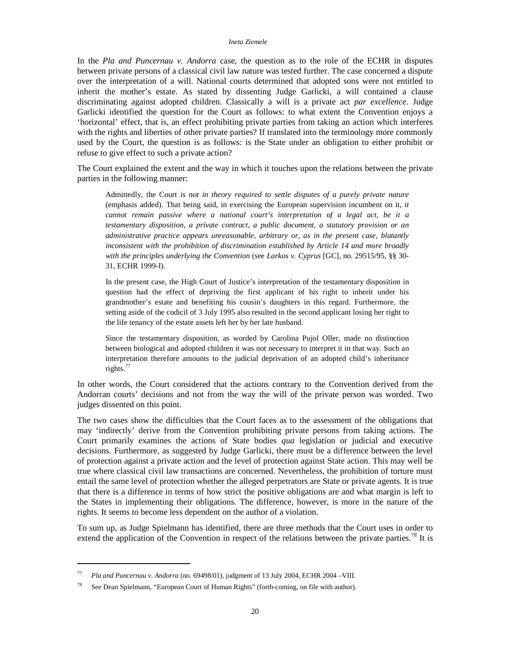In the *Pla and Puncernau v. Andorra* case, the question as to the role of the ECHR in disputes between private persons of a classical civil law nature was tested further. The case concerned a dispute over the interpretation of a will. National courts determined that adopted sons were not entitled to inherit the mother's estate. As stated by dissenting Judge Garlicki, a will contained a clause discriminating against adopted children. Classically a will is a private act *par excellence*. Judge Garlicki identified the question for the Court as follows: to what extent the Convention enjoys a 'horizontal' effect, that is, an effect prohibiting private parties from taking an action which interferes with the rights and liberties of other private parties? If translated into the terminology more commonly used by the Court, the question is as follows: is the State under an obligation to either prohibit or refuse to give effect to such a private action?

The Court explained the extent and the way in which it touches upon the relations between the private parties in the following manner:

Admittedly, the Court *is not in theory required to settle disputes of a purely private nature* (emphasis added). That being said, in exercising the European supervision incumbent on it, *it cannot remain passive where a national court's interpretation of a legal act, be it a testamentary disposition, a private contract, a public document, a statutory provision or an administrative practice appears unreasonable, arbitrary or, as in the present case, blatantly inconsistent with the prohibition of discrimination established by Article 14 and more broadly with the principles underlying the Convention* (see *Larkos v. Cyprus* [GC], no. 29515/95, §§ 30- 31, ECHR 1999-I).

In the present case, the High Court of Justice's interpretation of the testamentary disposition in question had the effect of depriving the first applicant of his right to inherit under his grandmother's estate and benefiting his cousin's daughters in this regard. Furthermore, the setting aside of the codicil of 3 July 1995 also resulted in the second applicant losing her right to the life tenancy of the estate assets left her by her late husband.

Since the testamentary disposition, as worded by Carolina Pujol Oller, made no distinction between biological and adopted children it was not necessary to interpret it in that way. Such an interpretation therefore amounts to the judicial deprivation of an adopted child's inheritance rights.<sup>77</sup>

In other words, the Court considered that the actions contrary to the Convention derived from the Andorran courts' decisions and not from the way the will of the private person was worded. Two judges dissented on this point.

The two cases show the difficulties that the Court faces as to the assessment of the obligations that may 'indirectly' derive from the Convention prohibiting private persons from taking actions. The Court primarily examines the actions of State bodies *qua* legislation or judicial and executive decisions. Furthermore, as suggested by Judge Garlicki, there must be a difference between the level of protection against a private action and the level of protection against State action. This may well be true where classical civil law transactions are concerned. Nevertheless, the prohibition of torture must entail the same level of protection whether the alleged perpetrators are State or private agents. It is true that there is a difference in terms of how strict the positive obligations are and what margin is left to the States in implementing their obligations. The difference, however, is more in the nature of the rights. It seems to become less dependent on the author of a violation.

To sum up, as Judge Spielmann has identified, there are three methods that the Court uses in order to extend the application of the Convention in respect of the relations between the private parties.<sup>78</sup> It is

<sup>77</sup> *Pla and Puncernau v. Andorra* (no. 69498/01), judgment of 13 July 2004, ECHR 2004 –VIII.

<sup>78</sup> See Dean Spielmann, "European Court of Human Rights" (forth-coming, on file with author).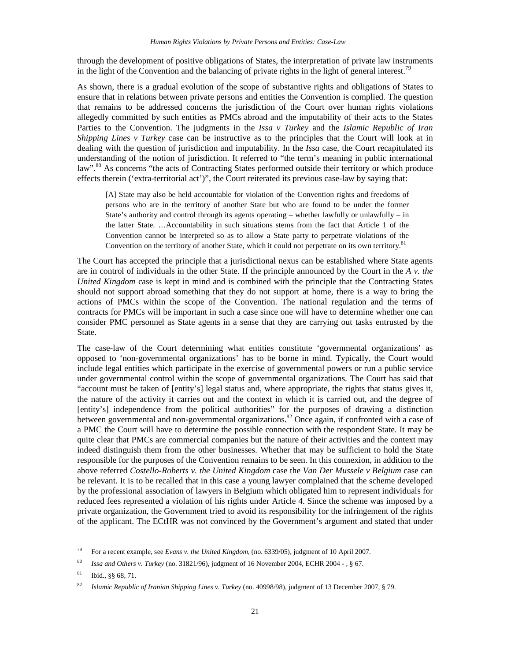through the development of positive obligations of States, the interpretation of private law instruments in the light of the Convention and the balancing of private rights in the light of general interest.<sup>79</sup>

As shown, there is a gradual evolution of the scope of substantive rights and obligations of States to ensure that in relations between private persons and entities the Convention is complied. The question that remains to be addressed concerns the jurisdiction of the Court over human rights violations allegedly committed by such entities as PMCs abroad and the imputability of their acts to the States Parties to the Convention. The judgments in the *Issa v Turkey* and the *Islamic Republic of Iran Shipping Lines v Turkey* case can be instructive as to the principles that the Court will look at in dealing with the question of jurisdiction and imputability. In the *Issa* case, the Court recapitulated its understanding of the notion of jurisdiction. It referred to "the term's meaning in public international law".<sup>80</sup> As concerns "the acts of Contracting States performed outside their territory or which produce effects therein ('extra-territorial act')", the Court reiterated its previous case-law by saying that:

[A] State may also be held accountable for violation of the Convention rights and freedoms of persons who are in the territory of another State but who are found to be under the former State's authority and control through its agents operating – whether lawfully or unlawfully – in the latter State. …Accountability in such situations stems from the fact that Article 1 of the Convention cannot be interpreted so as to allow a State party to perpetrate violations of the Convention on the territory of another State, which it could not perpetrate on its own territory.<sup>81</sup>

The Court has accepted the principle that a jurisdictional nexus can be established where State agents are in control of individuals in the other State. If the principle announced by the Court in the *A v. the United Kingdom* case is kept in mind and is combined with the principle that the Contracting States should not support abroad something that they do not support at home, there is a way to bring the actions of PMCs within the scope of the Convention. The national regulation and the terms of contracts for PMCs will be important in such a case since one will have to determine whether one can consider PMC personnel as State agents in a sense that they are carrying out tasks entrusted by the State.

The case-law of the Court determining what entities constitute 'governmental organizations' as opposed to 'non-governmental organizations' has to be borne in mind. Typically, the Court would include legal entities which participate in the exercise of governmental powers or run a public service under governmental control within the scope of governmental organizations. The Court has said that "account must be taken of [entity's] legal status and, where appropriate, the rights that status gives it, the nature of the activity it carries out and the context in which it is carried out, and the degree of [entity's] independence from the political authorities" for the purposes of drawing a distinction between governmental and non-governmental organizations.<sup>82</sup> Once again, if confronted with a case of a PMC the Court will have to determine the possible connection with the respondent State. It may be quite clear that PMCs are commercial companies but the nature of their activities and the context may indeed distinguish them from the other businesses. Whether that may be sufficient to hold the State responsible for the purposes of the Convention remains to be seen. In this connexion, in addition to the above referred *Costello-Roberts v. the United Kingdom* case the *Van Der Mussele v Belgium* case can be relevant. It is to be recalled that in this case a young lawyer complained that the scheme developed by the professional association of lawyers in Belgium which obligated him to represent individuals for reduced fees represented a violation of his rights under Article 4. Since the scheme was imposed by a private organization, the Government tried to avoid its responsibility for the infringement of the rights of the applicant. The ECtHR was not convinced by the Government's argument and stated that under

<sup>79</sup> For a recent example, see *Evans v. the United Kingdom*, (no. 6339/05), judgment of 10 April 2007.

<sup>80</sup> *Issa and Others v. Turkey* (no. 31821/96), judgment of 16 November 2004, ECHR 2004 - , § 67.

<sup>81</sup> Ibid., §§ 68, 71.

<sup>82</sup> *Islamic Republic of Iranian Shipping Lines v. Turkey* (no. 40998/98), judgment of 13 December 2007, § 79.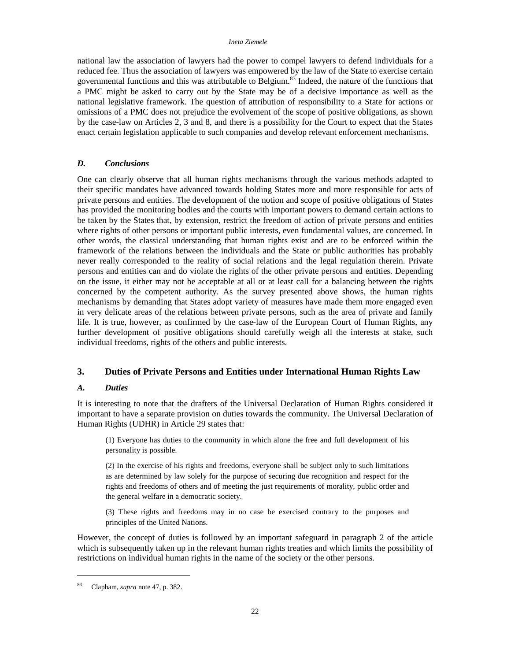national law the association of lawyers had the power to compel lawyers to defend individuals for a reduced fee. Thus the association of lawyers was empowered by the law of the State to exercise certain governmental functions and this was attributable to Belgium.<sup>83</sup> Indeed, the nature of the functions that a PMC might be asked to carry out by the State may be of a decisive importance as well as the national legislative framework. The question of attribution of responsibility to a State for actions or omissions of a PMC does not prejudice the evolvement of the scope of positive obligations, as shown by the case-law on Articles 2, 3 and 8, and there is a possibility for the Court to expect that the States enact certain legislation applicable to such companies and develop relevant enforcement mechanisms.

## *D. Conclusions*

One can clearly observe that all human rights mechanisms through the various methods adapted to their specific mandates have advanced towards holding States more and more responsible for acts of private persons and entities. The development of the notion and scope of positive obligations of States has provided the monitoring bodies and the courts with important powers to demand certain actions to be taken by the States that, by extension, restrict the freedom of action of private persons and entities where rights of other persons or important public interests, even fundamental values, are concerned. In other words, the classical understanding that human rights exist and are to be enforced within the framework of the relations between the individuals and the State or public authorities has probably never really corresponded to the reality of social relations and the legal regulation therein. Private persons and entities can and do violate the rights of the other private persons and entities. Depending on the issue, it either may not be acceptable at all or at least call for a balancing between the rights concerned by the competent authority. As the survey presented above shows, the human rights mechanisms by demanding that States adopt variety of measures have made them more engaged even in very delicate areas of the relations between private persons, such as the area of private and family life. It is true, however, as confirmed by the case-law of the European Court of Human Rights, any further development of positive obligations should carefully weigh all the interests at stake, such individual freedoms, rights of the others and public interests.

## **3. Duties of Private Persons and Entities under International Human Rights Law**

## *A. Duties*

It is interesting to note that the drafters of the Universal Declaration of Human Rights considered it important to have a separate provision on duties towards the community. The Universal Declaration of Human Rights (UDHR) in Article 29 states that:

(1) Everyone has duties to the community in which alone the free and full development of his personality is possible.

(2) In the exercise of his rights and freedoms, everyone shall be subject only to such limitations as are determined by law solely for the purpose of securing due recognition and respect for the rights and freedoms of others and of meeting the just requirements of morality, public order and the general welfare in a democratic society.

(3) These rights and freedoms may in no case be exercised contrary to the purposes and principles of the United Nations.

However, the concept of duties is followed by an important safeguard in paragraph 2 of the article which is subsequently taken up in the relevant human rights treaties and which limits the possibility of restrictions on individual human rights in the name of the society or the other persons.

<sup>83</sup> Clapham, *supra* note 47, p. 382.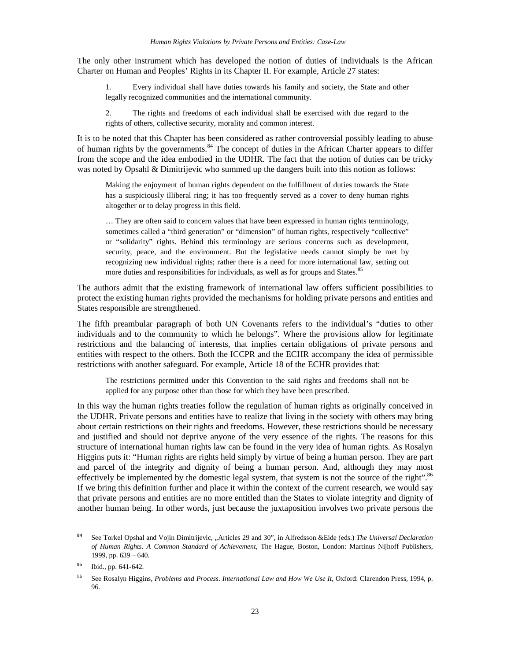The only other instrument which has developed the notion of duties of individuals is the African Charter on Human and Peoples' Rights in its Chapter II. For example, Article 27 states:

Every individual shall have duties towards his family and society, the State and other legally recognized communities and the international community.

2. The rights and freedoms of each individual shall be exercised with due regard to the rights of others, collective security, morality and common interest.

It is to be noted that this Chapter has been considered as rather controversial possibly leading to abuse of human rights by the governments.<sup>84</sup> The concept of duties in the African Charter appears to differ from the scope and the idea embodied in the UDHR. The fact that the notion of duties can be tricky was noted by Opsahl & Dimitrijevic who summed up the dangers built into this notion as follows:

Making the enjoyment of human rights dependent on the fulfillment of duties towards the State has a suspiciously illiberal ring; it has too frequently served as a cover to deny human rights altogether or to delay progress in this field.

… They are often said to concern values that have been expressed in human rights terminology, sometimes called a "third generation" or "dimension" of human rights, respectively "collective" or "solidarity" rights. Behind this terminology are serious concerns such as development, security, peace, and the environment. But the legislative needs cannot simply be met by recognizing new individual rights; rather there is a need for more international law, setting out more duties and responsibilities for individuals, as well as for groups and States.<sup>85</sup>

The authors admit that the existing framework of international law offers sufficient possibilities to protect the existing human rights provided the mechanisms for holding private persons and entities and States responsible are strengthened.

The fifth preambular paragraph of both UN Covenants refers to the individual's "duties to other individuals and to the community to which he belongs". Where the provisions allow for legitimate restrictions and the balancing of interests, that implies certain obligations of private persons and entities with respect to the others. Both the ICCPR and the ECHR accompany the idea of permissible restrictions with another safeguard. For example, Article 18 of the ECHR provides that:

The restrictions permitted under this Convention to the said rights and freedoms shall not be applied for any purpose other than those for which they have been prescribed.

In this way the human rights treaties follow the regulation of human rights as originally conceived in the UDHR. Private persons and entities have to realize that living in the society with others may bring about certain restrictions on their rights and freedoms. However, these restrictions should be necessary and justified and should not deprive anyone of the very essence of the rights. The reasons for this structure of international human rights law can be found in the very idea of human rights. As Rosalyn Higgins puts it: "Human rights are rights held simply by virtue of being a human person. They are part and parcel of the integrity and dignity of being a human person. And, although they may most effectively be implemented by the domestic legal system, that system is not the source of the right".<sup>86</sup> If we bring this definition further and place it within the context of the current research, we would say that private persons and entities are no more entitled than the States to violate integrity and dignity of another human being. In other words, just because the juxtaposition involves two private persons the

<sup>84</sup> See Torkel Opshal and Vojin Dimitrijevic, "Articles 29 and 30", in Alfredsson &Eide (eds.) The Universal Declaration *of Human Rights. A Common Standard of Achievement*, The Hague, Boston, London: Martinus Nijhoff Publishers, 1999, pp. 639 – 640.

**<sup>85</sup>** Ibid., pp. 641-642.

<sup>86</sup> See Rosalyn Higgins, *Problems and Process. International Law and How We Use It*, Oxford: Clarendon Press, 1994, p. 96.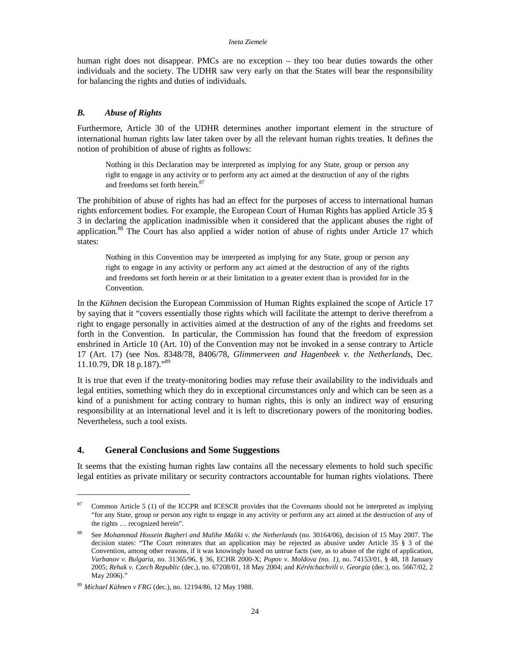human right does not disappear. PMCs are no exception – they too bear duties towards the other individuals and the society. The UDHR saw very early on that the States will bear the responsibility for balancing the rights and duties of individuals.

## *B. Abuse of Rights*

Furthermore, Article 30 of the UDHR determines another important element in the structure of international human rights law later taken over by all the relevant human rights treaties. It defines the notion of prohibition of abuse of rights as follows:

Nothing in this Declaration may be interpreted as implying for any State, group or person any right to engage in any activity or to perform any act aimed at the destruction of any of the rights and freedoms set forth herein.<sup>87</sup>

The prohibition of abuse of rights has had an effect for the purposes of access to international human rights enforcement bodies. For example, the European Court of Human Rights has applied Article 35 § 3 in declaring the application inadmissible when it considered that the applicant abuses the right of application.<sup>88</sup> The Court has also applied a wider notion of abuse of rights under Article 17 which states:

Nothing in this Convention may be interpreted as implying for any State, group or person any right to engage in any activity or perform any act aimed at the destruction of any of the rights and freedoms set forth herein or at their limitation to a greater extent than is provided for in the Convention.

In the *Kühnen* decision the European Commission of Human Rights explained the scope of Article 17 by saying that it "covers essentially those rights which will facilitate the attempt to derive therefrom a right to engage personally in activities aimed at the destruction of any of the rights and freedoms set forth in the Convention. In particular, the Commission has found that the freedom of expression enshrined in Article 10 (Art. 10) of the Convention may not be invoked in a sense contrary to Article 17 (Art. 17) (see Nos. 8348/78, 8406/78, *Glimmerveen and Hagenbeek v. the Netherlands*, Dec. 11.10.79, DR 18 p.187)."<sup>89</sup>

It is true that even if the treaty-monitoring bodies may refuse their availability to the individuals and legal entities, something which they do in exceptional circumstances only and which can be seen as a kind of a punishment for acting contrary to human rights, this is only an indirect way of ensuring responsibility at an international level and it is left to discretionary powers of the monitoring bodies. Nevertheless, such a tool exists.

## **4. General Conclusions and Some Suggestions**

It seems that the existing human rights law contains all the necessary elements to hold such specific legal entities as private military or security contractors accountable for human rights violations. There

<sup>&</sup>lt;sup>87</sup> Common Article 5 (1) of the ICCPR and ICESCR provides that the Covenants should not be interpreted as implying "for any State, group or person any right to engage in any activity or perform any act aimed at the destruction of any of the rights … recognized herein".

<sup>88</sup> See *Mohammad Hossein Bagheri and Malihe Maliki v. the Netherlands* (no. 30164/06), decision of 15 May 2007. The decision states: "The Court reiterates that an application may be rejected as abusive under Article 35 § 3 of the Convention, among other reasons, if it was knowingly based on untrue facts (see, as to abuse of the right of application, *Varbanov v. Bulgaria*, no. 31365/96, § 36, ECHR 2000-X; *Popov v. Moldova (no. 1)*, no. 74153/01, § 48, 18 January 2005; *Rehak v. Czech Republic* (dec.), no. 67208/01, 18 May 2004; and *Kérétchachvili v. Georgia* (dec.), no. 5667/02, 2 May 2006)."

<sup>89</sup> *Michael Kühnen v FRG* (dec.), no. 12194/86, 12 May 1988.